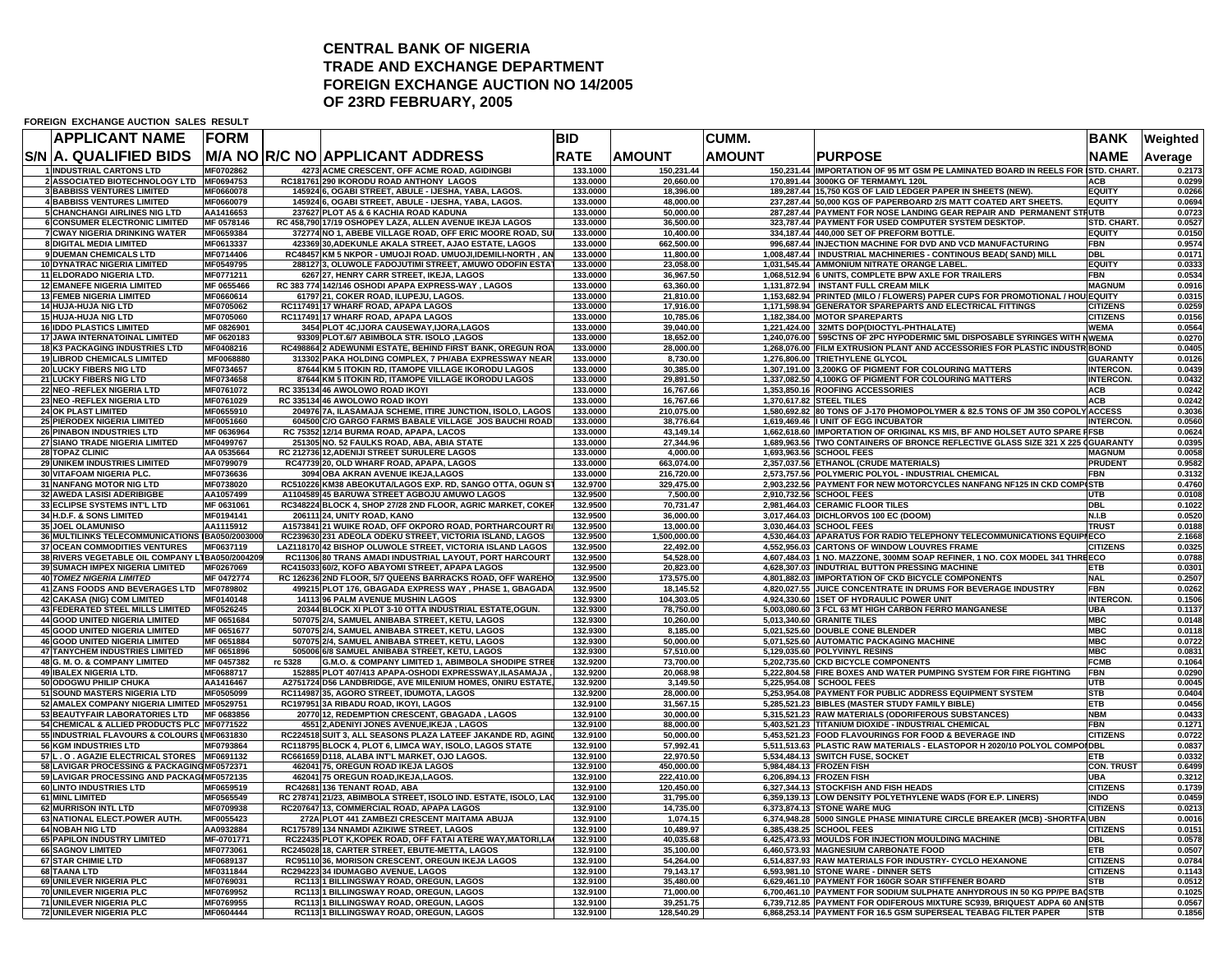## **CENTRAL BANK OF NIGERIA TRADE AND EXCHANGE DEPARTMENT FOREIGN EXCHANGE AUCTION NO 14/2005 OF 23RD FEBRUARY, 2005**

**FOREIGN EXCHANGE AUCTION SALES RESULT**

| <b>APPLICANT NAME</b>                                                                     | FORM                     |         |                                                                                                                      | <b>BID</b>           |                          | <b>CUMM.</b>  |                                                                                                                                                       | <b>BANK</b>                     | Weighted         |
|-------------------------------------------------------------------------------------------|--------------------------|---------|----------------------------------------------------------------------------------------------------------------------|----------------------|--------------------------|---------------|-------------------------------------------------------------------------------------------------------------------------------------------------------|---------------------------------|------------------|
| <b>S/N A. QUALIFIED BIDS</b>                                                              |                          |         | M/A NO R/C NO APPLICANT ADDRESS                                                                                      | <b>RATE</b>          | <b>AMOUNT</b>            | <b>AMOUNT</b> | <b>PURPOSE</b>                                                                                                                                        | NAME                            | Average          |
| 1 INDUSTRIAL CARTONS LTD                                                                  | MF0702862                |         | 4273 ACME CRESCENT, OFF ACME ROAD, AGIDINGBI                                                                         | 133.1000             | 150,231.44               |               | 150,231.44 IMPORTATION OF 95 MT GSM PE LAMINATED BOARD IN REELS FOR ISTD. CHART.                                                                      |                                 | 0.2173           |
| 2 ASSOCIATED BIOTECHNOLOGY LTD MF0694753<br><b>3 BABBISS VENTURES LIMITED</b>             | MF0660078                |         | RC181761 290 IKORODU ROAD ANTHONY LAGOS<br>145924 6, OGABI STREET, ABULE - IJESHA, YABA, LAGOS.                      | 133.0000<br>133.0000 | 20,660.00<br>18,396.00   |               | 170,891.44 3000KG OF TERMAMYL 120L<br>189,287.44 15,750 KGS OF LAID LEDGER PAPER IN SHEETS (NEW).                                                     | <b>ACB</b><br><b>EQUITY</b>     | 0.0299<br>0.0266 |
| <b>4 BABBISS VENTURES LIMITED</b>                                                         | MF0660079                |         | 145924 6, OGABI STREET, ABULE - IJESHA, YABA, LAGOS.                                                                 | 133,0000             | 48.000.00                |               | 237,287.44 50,000 KGS OF PAPERBOARD 2/S MATT COATED ART SHEETS.                                                                                       | <b>EQUITY</b>                   | 0.0694           |
| <b>5 CHANCHANGI AIRLINES NIG LTD</b>                                                      | AA1416653                |         | 237627 PLOT A5 & 6 KACHIA ROAD KADUNA                                                                                | 133.0000             | 50.000.00                |               | 287.287.44 PAYMENT FOR NOSE LANDING GEAR REPAIR AND PERMANENT STRUTB                                                                                  |                                 | 0.0723           |
| <b>6 CONSUMER ELECTRONIC LIMITED</b>                                                      | MF 0578146               |         | RC 458,790 17/19 OSHOPEY LAZA, ALLEN AVENUE IKEJA LAGOS                                                              | 133.0000             | 36.500.00                |               | 323.787.44 PAYMENT FOR USED COMPUTER SYSTEM DESKTOP.                                                                                                  | STD. CHART.                     | 0.0527           |
| 7 CWAY NIGERIA DRINKING WATER                                                             | MF0659384                |         | 372774 NO 1, ABEBE VILLAGE ROAD, OFF ERIC MOORE ROAD, SU                                                             | 133.0000             | 10,400.00                |               | 334,187.44 440,000 SET OF PREFORM BOTTLE.                                                                                                             | <b>EQUITY</b>                   | 0.0150           |
| 8 DIGITAL MEDIA LIMITED                                                                   | MF0613337                |         | 423369 30, ADEKUNLE AKALA STREET, AJAO ESTATE, LAGOS                                                                 | 133.0000             | 662,500.00               |               | 996,687.44 INJECTION MACHINE FOR DVD AND VCD MANUFACTURING                                                                                            | FBN                             | 0.9574           |
| 9 DUEMAN CHEMICALS LTD                                                                    | MF0714406<br>MF0549795   |         | RC48457 KM 5 NKPOR - UMUOJI ROAD. UMUOJI,IDEMILI-NORTH, AN<br>288127 3, OLUWOLE FADOJUTIMI STREET, AMUWO ODOFIN ESTA | 133.0000             | 11,800.00                |               | 1,008,487.44   INDUSTRIAL MACHINERIES - CONTINOUS BEAD( SAND) MILL<br>1,031,545.44 AMMONIUM NITRATE ORANGE LABEL.                                     | <b>DBL</b><br><b>EQUITY</b>     | 0.0171<br>0.0333 |
| 10 DYNATRAC NIGERIA LIMITED<br>11 ELDORADO NIGERIA LTD.                                   | MF0771211                |         | 6267 27, HENRY CARR STREET, IKEJA, LAGOS                                                                             | 133.0000<br>133.0000 | 23,058.00<br>36,967.50   |               | 1,068,512.94 6 UNITS, COMPLETE BPW AXLE FOR TRAILERS                                                                                                  | <b>FBN</b>                      | 0.0534           |
| <b>12 EMANEFE NIGERIA LIMITED</b>                                                         | MF 0655466               |         | RC 383 774 142/146 OSHODI APAPA EXPRESS-WAY, LAGOS                                                                   | 133.0000             | 63,360.00                |               | 1,131,872.94   INSTANT FULL CREAM MILK                                                                                                                | <b>MAGNUM</b>                   | 0.0916           |
| <b>13 FEMEB NIGERIA LIMITED</b>                                                           | MF0660614                |         | 61797 21, COKER ROAD, ILUPEJU, LAGOS.                                                                                | 133.0000             | 21,810.00                |               | 1,153,682.94 PRINTED (MILO / FLOWERS) PAPER CUPS FOR PROMOTIONAL / HOU EQUITY                                                                         |                                 | 0.0315           |
| 14 HUJA-HUJA NIG LTD                                                                      | MF0705062                |         | RC117491 17 WHARF ROAD, APAPA LAGOS                                                                                  | 133.0000             | 17,916.00                |               | 1,171,598.94 GENERATOR SPAREPARTS AND ELECTRICAL FITTINGS                                                                                             | <b>CITIZENS</b>                 | 0.0259           |
| 15 HUJA-HUJA NIG LTD                                                                      | MF0705060                |         | RC117491 17 WHARF ROAD, APAPA LAGOS                                                                                  | 133.0000             | 10,785.06                |               | 1,182,384.00 MOTOR SPAREPARTS                                                                                                                         | <b>CITIZENS</b>                 | 0.0156           |
| <b>16 IDDO PLASTICS LIMITED</b><br><b>17 JAWA INTERNATOINAL LIMITED</b>                   | MF 0826901<br>MF 0620183 |         | 3454 PLOT 4C,IJORA CAUSEWAY,IJORA,LAGOS<br>93309 PLOT.6/7 ABIMBOLA STR. ISOLO ,LAGOS                                 | 133.0000<br>133.0000 | 39,040.00<br>18,652.00   |               | 1,221,424.00 32MTS DOP(DIOCTYL-PHTHALATE)<br>1,240,076.00 595CTNS OF 2PC HYPODERMIC 5ML DISPOSABLE SYRINGES WITH NWEMA                                | <b>WEMA</b>                     | 0.0564<br>0.0270 |
| <b>18 K3 PACKAGING INDUSTRIES LTD</b>                                                     | MF0408216                |         | RC498864 2 ADEWUNMI ESTATE, BEHIND FIRST BANK, OREGUN ROA                                                            | 133.0000             | 28,000.00                |               | 1,268,076.00 FILM EXTRUSION PLANT AND ACCESSORIES FOR PLASTIC INDUSTR BOND                                                                            |                                 | 0.0405           |
| <b>19 LIBROD CHEMICALS LIMITED</b>                                                        | MF0068880                |         | 313302 PAKA HOLDING COMPLEX, 7 PH/ABA EXPRESSWAY NEAR                                                                | 133.0000             | 8,730.00                 |               | 1,276,806.00 TRIETHYLENE GLYCOL                                                                                                                       | <b>GUARANTY</b>                 | 0.0126           |
| 20 LUCKY FIBERS NIG LTD                                                                   | MF0734657                |         | 87644 KM 5 ITOKIN RD, ITAMOPE VILLAGE IKORODU LAGOS                                                                  | 133.0000             | 30,385.00                |               | 1,307,191.00 3,200KG OF PIGMENT FOR COLOURING MATTERS                                                                                                 | <b>INTERCON.</b>                | 0.0439           |
| 21 LUCKY FIBERS NIG LTD                                                                   | MF0734658                |         | 87644 KM 5 ITOKIN RD. ITAMOPE VILLAGE IKORODU LAGOS                                                                  | 133.0000             | 29,891.50                |               | 1,337,082.50 4,100KG OF PIGMENT FOR COLOURING MATTERS                                                                                                 | <b>INTERCON.</b>                | 0.0432           |
| 22 NEO - REFLEX NIGERIA LTD                                                               | MF0761072                |         | RC 335134 46 AWOLOWO ROAD IKOYI                                                                                      | 133.0000             | 16,767.66                |               | 1.353.850.16 ROOFING ACCESSORIES                                                                                                                      | <b>ACB</b>                      | 0.0242           |
| 23 NEO - REFLEX NIGERIA LTD<br><b>24 OK PLAST LIMITED</b>                                 | MF0761029<br>MF0655910   |         | RC 335134 46 AWOLOWO ROAD IKOYI<br>204976 7A, ILASAMAJA SCHEME, ITIRE JUNCTION, ISOLO, LAGOS                         | 133.0000<br>133.0000 | 16,767.66<br>210,075.00  |               | 1,370,617.82 STEEL TILES<br>1,580,692.82 80 TONS OF J-170 PHOMOPOLYMER & 82.5 TONS OF JM 350 COPOLY ACCESS                                            | <b>ACB</b>                      | 0.0242<br>0.3036 |
| <b>25 PIERODEX NIGERIA LIMITED</b>                                                        | MF0051660                |         | 604500 C/O GARGO FARMS BABALE VILLAGE JOS BAUCHI ROAD                                                                | 133.0000             | 38,776.64                |               | 1,619,469.46  I UNIT OF EGG INCUBATOR                                                                                                                 | <b>INTERCON.</b>                | 0.0560           |
| <b>26 PINABON INDUSTRIES LTD</b>                                                          | MF 0636964               |         | RC 75352 12/14 BURMA ROAD, APAPA, LACOS                                                                              | 133.0000             | 43,149.14                |               | 1,662,618.60 IMPORTATION OF ORIGINAL KS MIS, BF AND HOLSET AUTO SPARE FFSB                                                                            |                                 | 0.0624           |
| 27 SIANO TRADE NIGERIA LIMITED                                                            | MF0499767                |         | 251305 NO. 52 FAULKS ROAD, ABA, ABIA STATE                                                                           | 133.0000             | 27,344.96                |               | 1,689,963.56 TWO CONTAINERS OF BRONCE REFLECTIVE GLASS SIZE 321 X 225 (GUARANTY                                                                       |                                 | 0.0395           |
| 28 TOPAZ CLINIC                                                                           | AA 0535664               |         | RC 212736 12, ADENIJI STREET SURULERE LAGOS                                                                          | 133.0000             | 4,000.00                 |               | 1,693,963.56 SCHOOL FEES                                                                                                                              | <b>MAGNUM</b>                   | 0.0058           |
| 29 UNIKEM INDUSTRIES LIMITED                                                              | MF0799079                |         | RC47739 20, OLD WHARF ROAD, APAPA, LAGOS                                                                             | 133.0000             | 663,074.00               |               | 2,357,037.56 ETHANOL (CRUDE MATERIALS)                                                                                                                | <b>PRUDENT</b>                  | 0.9582           |
| 30 VITAFOAM NIGERIA PLC.<br><b>31 NANFANG MOTOR NIG LTD</b>                               | MF0736636<br>MF0738020   |         | 3094 OBA AKRAN AVENUE IKEJA, LAGOS<br>RC510226 KM38 ABEOKUTA/LAGOS EXP. RD, SANGO OTTA, OGUN S'                      | 133.0000<br>132.9700 | 216,720.00<br>329,475.00 |               | 2,573,757.56 POLYMERIC POLYOL - INDUSTRIAL CHEMICAL<br>2,903,232.56 PAYMENT FOR NEW MOTORCYCLES NANFANG NF125 IN CKD COMP(STB                         | <b>FBN</b>                      | 0.3132<br>0.4760 |
| 32 AWEDA LASISI ADERIBIGBE                                                                | AA1057499                |         | A1104589 45 BARUWA STREET AGBOJU AMUWO LAGOS                                                                         | 132.9500             | 7,500.00                 |               | 2,910,732.56 SCHOOL FEES                                                                                                                              | <b>UTB</b>                      | 0.0108           |
| 33 ECLIPSE SYSTEMS INT'L LTD                                                              | MF 0631061               |         | RC348224 BLOCK 4, SHOP 27/28 2ND FLOOR, AGRIC MARKET, COKEI                                                          | 132.9500             | 70,731.47                |               | 2,981,464.03 CERAMIC FLOOR TILES                                                                                                                      | <b>DBL</b>                      | 0.1022           |
| 34 H.D.F. & SONS LIMITED                                                                  | MF0194141                |         | 206111 24, UNITY ROAD, KANO                                                                                          | 132.9500             | 36,000.00                |               | 3,017,464.03 DICHLORVOS 100 EC (DOOM)                                                                                                                 | N.I.B                           | 0.0520           |
| 35 JOEL OLAMUNISO                                                                         | AA1115912                |         | A1573841 21 WUIKE ROAD, OFF OKPORO ROAD, PORTHARCOURT RI                                                             | 132.9500             | 13,000.00                |               | 3,030,464.03 SCHOOL FEES                                                                                                                              | <b>TRUST</b>                    | 0.0188           |
| 36 MULTILINKS TELECOMMUNICATIONS IBA050/2003000                                           |                          |         | RC239630 231 ADEOLA ODEKU STREET, VICTORIA ISLAND, LAGOS                                                             | 132.9500             | 1,500,000.00             |               | 4,530,464.03 APARATUS FOR RADIO TELEPHONY TELECOMMUNICATIONS EQUIPIECO                                                                                |                                 | 2.1668           |
| <b>37 OCEAN COMMODITIES VENTURES</b><br>38 RIVERS VEGETABLE OIL COMPANY L1BA050/2004209   | MF0637119                |         | LAZ118170 42 BISHOP OLUWOLE STREET, VICTORIA ISLAND LAGOS<br>RC11306 80 TRANS AMADI INDUSTRIAL LAYOUT, PORT HARCOURT | 132.9500<br>132.9500 | 22,492.00<br>54,528.00   |               | 4,552,956.03 CARTONS OF WINDOW LOUVRES FRAME<br>4,607,484.03 1 NO. MAZZONE, 300MM SOAP REFINER, 1 NO. COX MODEL 341 THREECO                           | <b>CITIZENS</b>                 | 0.0325<br>0.0788 |
| 39 SUMACH IMPEX NIGERIA LIMITED                                                           | MF0267069                |         | RC415033 60/2, KOFO ABAYOMI STREET, APAPA LAGOS                                                                      | 132.9500             | 20,823.00                |               | 4,628,307.03 INDUTRIAL BUTTON PRESSING MACHINE                                                                                                        | <b>ETB</b>                      | 0.0301           |
| <b>40 TOMEZ NIGERIA LIMITED</b>                                                           | MF 0472774               |         | RC 126236 2ND FLOOR, 5/7 QUEENS BARRACKS ROAD, OFF WAREHO                                                            | 132.9500             | 173,575.00               |               | 4,801,882.03 IMPORTATION OF CKD BICYCLE COMPONENTS                                                                                                    | <b>NAL</b>                      | 0.2507           |
| 41 ZANS FOODS AND BEVERAGES LTD   MF0789802                                               |                          |         | 499215 PLOT 176, GBAGADA EXPRESS WAY, PHASE 1, GBAGADA                                                               | 132.9500             | 18,145.52                |               | 4,820,027.55 JUICE CONCENTRATE IN DRUMS FOR BEVERAGE INDUSTRY                                                                                         | <b>FBN</b>                      | 0.0262           |
| <b>42 CAKASA (NIG) COM LIMITED</b>                                                        | MF0140148                |         | 14113 96 PALM AVENUE MUSHIN LAGOS                                                                                    | 132.9300             | 104,303.05               |               | 4,924,330.60 1SET OF HYDRAULIC POWER UNIT                                                                                                             | <b>INTERCON.</b>                | 0.1506           |
| 43 FEDERATED STEEL MILLS LIMITED                                                          | MF0526245                |         | 20344 BLOCK XI PLOT 3-10 OTTA INDUSTRIAL ESTATE, OGUN.                                                               | 132.9300             | 78,750.00                |               | 5,003,080.60 3 FCL 63 MT HIGH CARBON FERRO MANGANESE                                                                                                  | <b>UBA</b>                      | 0.1137           |
| 44 GOOD UNITED NIGERIA LIMITED<br><b>45 GOOD UNITED NIGERIA LIMITED</b>                   | MF 0651684<br>MF 0651677 |         | 507075 2/4, SAMUEL ANIBABA STREET, KETU, LAGOS<br>507075 2/4, SAMUEL ANIBABA STREET, KETU, LAGOS                     | 132.9300<br>132.9300 | 10,260.00<br>8,185.00    |               | 5,013,340.60 GRANITE TILES<br>5,021,525.60 DOUBLE CONE BLENDER                                                                                        | <b>MBC</b><br><b>MBC</b>        | 0.0148<br>0.0118 |
| <b>46 GOOD UNITED NIGERIA LIMITED</b>                                                     | MF 0651884               |         | 507075 2/4, SAMUEL ANIBABA STREET, KETU, LAGOS                                                                       | 132.9300             | 50,000.00                |               | 5,071,525.60 AUTOMATIC PACKAGING MACHINE                                                                                                              | <b>MBC</b>                      | 0.0722           |
| 47 TANYCHEM INDUSTRIES LIMITED                                                            | MF 0651896               |         | 505006 6/8 SAMUEL ANIBABA STREET, KETU, LAGOS                                                                        | 132.9300             | 57,510.00                |               | 5,129,035.60 POLYVINYL RESINS                                                                                                                         | <b>MBC</b>                      | 0.0831           |
| 48 G. M. O. & COMPANY LIMITED                                                             | MF 0457382               | rc 5328 | G.M.O. & COMPANY LIMITED 1, ABIMBOLA SHODIPE STRE                                                                    | 132.9200             | 73,700.00                |               | 5,202,735.60 CKD BICYCLE COMPONENTS                                                                                                                   | <b>FCMB</b>                     | 0.1064           |
| <b>49 IBALEX NIGERIA LTD.</b>                                                             | MF0688717                |         | 152885 PLOT 407/413 APAPA-OSHODI EXPRESSWAY, ILASAMAJA                                                               | 132.9200             | 20,068.98                |               | 5,222,804.58 FIRE BOXES AND WATER PUMPING SYSTEM FOR FIRE FIGHTING                                                                                    | <b>FBN</b>                      | 0.0290           |
| 50 ODOGWU PHILIP CHUKA<br>51 SOUND MASTERS NIGERIA LTD                                    | AA1416467<br>MF0505099   |         | A2751724 D56 LANDBRIDGE, AVE MILENIUM HOMES, ONIRU ESTATE<br>RC114987 35, AGORO STREET, IDUMOTA, LAGOS               | 132.9200<br>132.9200 | 3,149.50<br>28,000.00    |               | 5,225,954.08 SCHOOL FEES<br>5,253,954.08 PAYMENT FOR PUBLIC ADDRESS EQUIPMENT SYSTEM                                                                  | <b>UTB</b><br><b>STB</b>        | 0.0045<br>0.0404 |
| 52 AMALEX COMPANY NIGERIA LIMITED MF0529751                                               |                          |         | RC197951 3A RIBADU ROAD, IKOYI, LAGOS                                                                                | 132.9100             | 31,567.15                |               | 5,285,521.23 BIBLES (MASTER STUDY FAMILY BIBLE)                                                                                                       | <b>ETB</b>                      | 0.0456           |
| 53 BEAUTYFAIR LABORATORIES LTD MF 0683856                                                 |                          |         | 20770 12, REDEMPTION CRESCENT, GBAGADA, LAGOS                                                                        | 132.9100             | 30,000.00                |               | 5,315,521.23 RAW MATERIALS (ODORIFEROUS SUBSTANCES)                                                                                                   | <b>NBM</b>                      | 0.0433           |
| 54 CHEMICAL & ALLIED PRODUCTS PLC MF0771522                                               |                          |         | 4551 2, ADENIYI JONES AVENUE, IKEJA, LAGOS                                                                           | 132.9100             | 88,000.00                |               | 5,403,521.23 TITANIUM DIOXIDE - INDUSTRIAL CHEMICAL                                                                                                   | <b>FBN</b>                      | 0.1271           |
| 55 INDUSTRIAL FLAVOURS & COLOURS IMF0631830                                               |                          |         | RC224518 SUIT 3, ALL SEASONS PLAZA LATEEF JAKANDE RD, AGINI                                                          | 132.9100             | 50,000.00                |               | 5,453,521.23 FOOD FLAVOURINGS FOR FOOD & BEVERAGE IND                                                                                                 | <b>CITIZENS</b>                 | 0.0722           |
| 56 KGM INDUSTRIES LTD                                                                     | MF0793864                |         | RC118795 BLOCK 4, PLOT 6, LIMCA WAY, ISOLO, LAGOS STATE                                                              | 132.9100             | 57,992.41                |               | 5,511,513.63 PLASTIC RAW MATERIALS - ELASTOPOR H 2020/10 POLYOL COMPOIDBL                                                                             |                                 | 0.0837           |
| 57 L.O. AGAZIE ELECTRICAL STORES MF0691132<br>58 LAVIGAR PROCESSING & PACKAGING MF0572371 |                          |         | RC661659 D118, ALABA INT'L MARKET, OJO LAGOS.<br>462041 75, OREGUN ROAD IKEJA LAGOS                                  | 132.9100<br>132.9100 | 22,970.50<br>450,000.00  |               | 5,534,484.13 SWITCH FUSE, SOCKET<br>5,984,484.13 FROZEN FISH                                                                                          | <b>ETB</b><br><b>CON. TRUST</b> | 0.0332<br>0.6499 |
| 59 LAVIGAR PROCESSING AND PACKAGI MF0572135                                               |                          |         | 462041 75 OREGUN ROAD, IKEJA, LAGOS.                                                                                 | 132.9100             | 222,410.00               |               | 6,206,894.13 FROZEN FISH                                                                                                                              | UBA                             | 0.3212           |
| 60 LINTO INDUSTRIES LTD                                                                   | MF0659519                |         | RC42681 136 TENANT ROAD, ABA                                                                                         | 132.9100             | 120,450.00               |               | 6,327,344.13 STOCKFISH AND FISH HEADS                                                                                                                 | <b>CITIZENS</b>                 | 0.1739           |
| <b>61 MINL LIMITED</b>                                                                    | MF0565549                |         | RC 278741 21/23, ABIMBOLA STREET, ISOLO IND. ESTATE, ISOLO, LAO                                                      | 132.9100             | 31,795.00                |               | 6,359,139.13 LOW DENSITY POLYETHYLENE WADS (FOR E.P. LINERS)                                                                                          | <b>INDO</b>                     | 0.0459           |
| 62 MURRISON INTL LTD                                                                      | MF0709938                |         | RC207647 13, COMMERCIAL ROAD, APAPA LAGOS                                                                            | 132.9100             | 14,735.00                |               | 6,373,874.13 STONE WARE MUG                                                                                                                           | <b>CITIZENS</b>                 | 0.0213           |
| 63 NATIONAL ELECT POWER AUTH.                                                             | MF0055423                |         | 272A PLOT 441 ZAMBEZI CRESCENT MAITAMA ABUJA<br>RC175789 134 NNAMDI AZIKIWE STREET. LAGOS                            | 132.9100             | 1,074.15                 |               | 6,374,948.28 5000 SINGLE PHASE MINIATURE CIRCLE BREAKER (MCB) -SHORTFA UBN                                                                            |                                 | 0.0016           |
| <b>64 NOBAH NIG LTD</b><br>65 PAPILON INDUSTRY LIMITED                                    | AA0932884<br>MF-0701771  |         | RC22435 PLOT K, KOPEK ROAD, OFF FATAI ATERE WAY, MATORI, LA                                                          | 132.9100<br>132.9100 | 10,489.97<br>40,035.68   |               | 6,385,438.25 SCHOOL FEES<br>6,425,473.93 MOULDS FOR INJECTION MOULDING MACHINE                                                                        | <b>CITIZENS</b><br><b>DBL</b>   | 0.0151<br>0.0578 |
| 66 SAGNOV LIMITED                                                                         | MF0773061                |         | RC245028 18, CARTER STREET, EBUTE-METTA, LAGOS                                                                       | 132.9100             | 35,100.00                |               | 6,460,573.93 MAGNESIUM CARBONATE FOOD                                                                                                                 | <b>ETB</b>                      | 0.0507           |
| <b>67 STAR CHIMIE LTD</b>                                                                 | MF0689137                |         | RC95110 36, MORISON CRESCENT, OREGUN IKEJA LAGOS                                                                     | 132.9100             | 54,264.00                |               | 6,514,837.93 RAW MATERIALS FOR INDUSTRY- CYCLO HEXANONE                                                                                               | <b>CITIZENS</b>                 | 0.0784           |
| <b>68 TAANA LTD</b>                                                                       | MF0311844                |         | RC294223 34 IDUMAGBO AVENUE, LAGOS                                                                                   | 132.9100             | 79,143.17                |               | 6,593,981.10 STONE WARE - DINNER SETS                                                                                                                 | <b>CITIZENS</b>                 | 0.1143           |
| 69 UNILEVER NIGERIA PLC                                                                   | MF0769031                |         | RC113 1 BILLINGSWAY ROAD, OREGUN, LAGOS                                                                              | 132.9100             | 35,480.00                |               | 6,629,461.10 PAYMENT FOR 160GR SOAR STIFFENER BOARD                                                                                                   | <b>STB</b>                      | 0.0512           |
| 70 UNILEVER NIGERIA PLC<br>71 UNILEVER NIGERIA PLC                                        | MF0769952<br>MF0769955   |         | RC113 1 BILLINGSWAY ROAD, OREGUN, LAGOS<br>RC113 1 BILLINGSWAY ROAD, OREGUN, LAGOS                                   | 132.9100<br>132.9100 | 71,000.00<br>39,251.75   |               | 6,700,461.10 PAYMENT FOR SODIUM SULPHATE ANHYDROUS IN 50 KG PP/PE BACSTB<br>6,739,712.85 PAYMENT FOR ODIFEROUS MIXTURE SC939, BRIQUEST ADPA 60 ANISTB |                                 | 0.1025<br>0.0567 |
| 72 UNILEVER NIGERIA PLC                                                                   | MF0604444                |         | RC113 1 BILLINGSWAY ROAD, OREGUN, LAGOS                                                                              | 132.9100             | 128,540.29               |               | 6,868,253.14 PAYMENT FOR 16.5 GSM SUPERSEAL TEABAG FILTER PAPER                                                                                       | <b>STB</b>                      | 0.1856           |
|                                                                                           |                          |         |                                                                                                                      |                      |                          |               |                                                                                                                                                       |                                 |                  |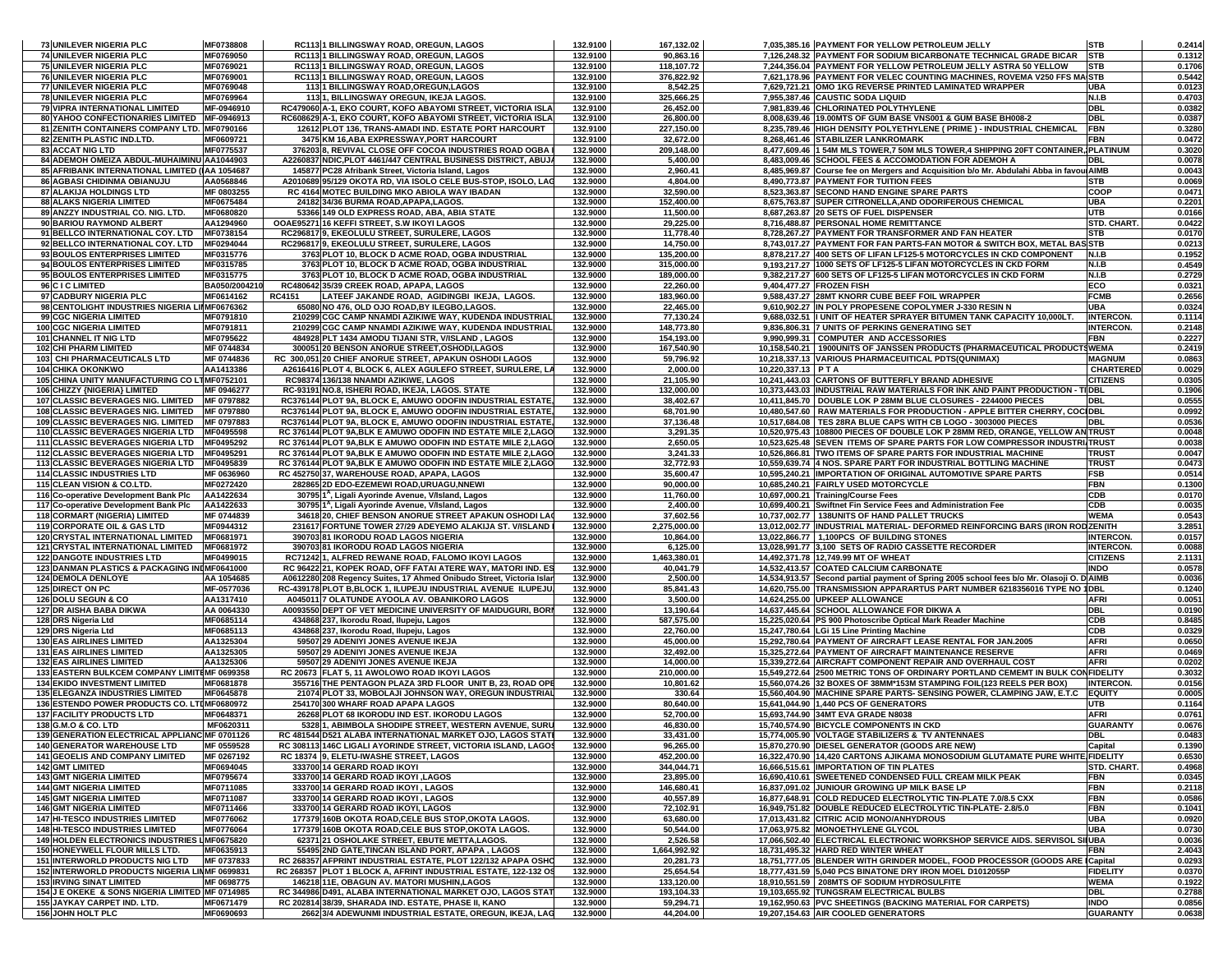| 73 UNILEVER NIGERIA PLC                                                       | MF0738808                  | RC113 1 BILLINGSWAY ROAD, OREGUN, LAGOS                                                                         | 132.9100             | 167,132.02             |                          | 7,035,385.16 PAYMENT FOR YELLOW PETROLEUM JELLY                                                                                                        | <b>STB</b>                     | 0.2414           |
|-------------------------------------------------------------------------------|----------------------------|-----------------------------------------------------------------------------------------------------------------|----------------------|------------------------|--------------------------|--------------------------------------------------------------------------------------------------------------------------------------------------------|--------------------------------|------------------|
| <b>74 UNILEVER NIGERIA PLC</b>                                                | MF0769050                  | RC113 1 BILLINGSWAY ROAD, OREGUN, LAGOS                                                                         | 132.9100             | 90,863.16              |                          | 7,126,248.32 PAYMENT FOR SODIUM BICARBONATE TECHNICAL GRADE BICAR                                                                                      | <b>STB</b>                     | 0.1312           |
| 75 UNILEVER NIGERIA PLC                                                       | MF0769021                  | RC1131 BILLINGSWAY ROAD, OREGUN, LAGOS                                                                          | 132.9100             | 118,107.72             |                          | 7,244,356.04 PAYMENT FOR YELLOW PETROLEUM JELLY ASTRA 50 YELLOW                                                                                        | <b>STB</b>                     | 0.1706           |
| 76 UNILEVER NIGERIA PLC                                                       | MF0769001                  | RC113 1 BILLINGSWAY ROAD, OREGUN, LAGOS                                                                         | 132.9100             | 376,822.92             |                          | 7,621,178.96 PAYMENT FOR VELEC COUNTING MACHINES, ROVEMA V250 FFS MAISTB                                                                               |                                | 0.5442           |
| 77 UNILEVER NIGERIA PLC                                                       | MF0769048                  | 113 1 BILLINGSWAY ROAD, OREGUN, LAGOS                                                                           | 132.9100             | 8,542.25               |                          | 7.629.721.21 OMO 1KG REVERSE PRINTED LAMINATED WRAPPER                                                                                                 | UBA                            | 0.0123           |
| <b>78 UNILEVER NIGERIA PLC</b>                                                | MF0769964                  | 1131, BILLINGSWAY OREGUN, IKEJA LAGOS.                                                                          | 132.9100             | 325,666.25             |                          | 7,955,387.46 CAUSTIC SODA LIQUID                                                                                                                       | N.I.B                          | 0.4703           |
| 79 VIPRA INTERNATIONAL LIMITED                                                | MF-0946910                 | RC479060 A-1, EKO COURT, KOFO ABAYOMI STREET, VICTORIA ISLA                                                     | 132.9100             | 26,452.00              |                          | 7,981,839.46 CHLORINATED POLYTHYLENE                                                                                                                   | DBL                            | 0.0382           |
| 80 YAHOO CONFECTIONARIES LIMITED MF-0946913                                   |                            | RC608629 A-1, EKO COURT, KOFO ABAYOMI STREET, VICTORIA ISLA                                                     | 132.9100             | 26,800.00              |                          | 8,008,639.46 19.00MTS OF GUM BASE VNS001 & GUM BASE BH008-2                                                                                            | <b>DBL</b>                     | 0.0387           |
| 81 ZENITH CONTAINERS COMPANY LTD. MF0790166                                   |                            | 12612 PLOT 136, TRANS-AMADI IND. ESTATE PORT HARCOURT                                                           | 132.9100             | 227,150.00             |                          | 8,235,789.46 HIGH DENSITY POLYETHYLENE ( PRIME ) - INDUSTRIAL CHEMICAL                                                                                 | <b>FBN</b>                     | 0.3280           |
| 82 ZENITH PLASTIC IND.LTD.                                                    | MF0609721                  | 3475 KM 16, ABA EXPRESSWAY, PORT HARCOURT                                                                       | 132.9100             | 32,672.00              |                          | 8,268,461.46 STABILIZER LANKROMARK                                                                                                                     | FBN                            | 0.0472           |
| <b>83 ACCAT NIG LTD</b>                                                       | MF0775537                  | 376203 8, REVIVAL CLOSE OFF COCOA INDUSTRIES ROAD OGBA                                                          | 132.9000             | 209,148.00             |                          | 8,477,609.46 1 54M MLS TOWER,7 50M MLS TOWER,4 SHIPPING 20FT CONTAINER, PLATINUM                                                                       |                                | 0.3020           |
| 84 ADEMOH OMEIZA ABDUL-MUHAIMINU AA1044903                                    |                            | A2260837 NDIC, PLOT 4461/447 CENTRAL BUSINESS DISTRICT, ABUJA                                                   | 132.9000             | 5,400.00               |                          | 8,483,009.46 SCHOOL FEES & ACCOMODATION FOR ADEMOH A                                                                                                   | DBL                            | 0.0078           |
| 85 AFRIBANK INTERNATIONAL LIMITED (IAA 1054687                                |                            | 145877 PC28 Afribank Street, Victoria Island, Lagos                                                             | 132.9000             | 2,960.41               |                          | 8,485,969.87 Course fee on Mergers and Acquisition b/o Mr. Abdulahi Abba in favoulAIMB                                                                 |                                | 0.0043           |
| 86 AGBASI CHIDINMA OBIANUJU                                                   | AA0568846                  | A2010689 95/129 OKOTA RD, VIA ISOLO CELE BUS-STOP, ISOLO, LAC                                                   | 132.9000             | 4,804.00               |                          | 8,490,773.87 PAYMENT FOR TUITION FEES                                                                                                                  | STB                            | 0.0069           |
| 87 ALAKIJA HOLDINGS LTD                                                       | MF 0803255                 | RC 4164 MOTEC BUILDING MKO ABIOLA WAY IBADAN                                                                    | 132.9000             | 32,590.00              |                          | 8,523,363.87 SECOND HAND ENGINE SPARE PARTS                                                                                                            | COOP                           | 0.0471           |
| <b>88 ALAKS NIGERIA LIMITED</b>                                               | MF0675484                  | 24182 34/36 BURMA ROAD, APAPA, LAGOS.                                                                           | 132.9000             | 152,400.00             |                          | 8,675,763.87 SUPER CITRONELLA, AND ODORIFEROUS CHEMICAL                                                                                                | UBA                            | 0.2201           |
| 89 ANZZY INDUSTRIAL CO. NIG. LTD.                                             | MF0680820                  | 53366 149 OLD EXPRESS ROAD, ABA, ABIA STATE                                                                     | 132.9000             | 11,500.00              |                          | 8,687,263.87 20 SETS OF FUEL DISPENSER                                                                                                                 | UTB                            | 0.0166           |
| 90 BARIOU RAYMOND ALBERT                                                      | AA1294960                  | OOAE95271 16 KEFFI STREET. S.W IKOYI LAGOS                                                                      | 132.9000             | 29,225.00              |                          | 8,716,488.87 PERSONAL HOME REMITTANCE                                                                                                                  | STD. CHART.                    | 0.0422           |
| 91 BELLCO INTERNATIONAL COY. LTD                                              | MF0738154                  | RC296817 9, EKEOLULU STREET, SURULERE, LAGOS                                                                    | 132.9000             | 11,778.40              |                          | 8,728,267.27 PAYMENT FOR TRANSFORMER AND FAN HEATER                                                                                                    | <b>STB</b>                     | 0.0170           |
| 92 BELLCO INTERNATIONAL COY. LTD                                              | MF0294044                  | RC296817 9, EKEOLULU STREET, SURULERE, LAGOS                                                                    | 132.9000             | 14,750.00              |                          | 8,743,017.27 PAYMENT FOR FAN PARTS-FAN MOTOR & SWITCH BOX, METAL BAS STB                                                                               |                                | 0.0213           |
| 93 BOULOS ENTERPRISES LIMITED                                                 | MF0315776                  | 3763 PLOT 10, BLOCK D ACME ROAD, OGBA INDUSTRIAL                                                                | 132.9000             | 135,200.00             |                          | 8,878,217.27 400 SETS OF LIFAN LF125-5 MOTORCYCLES IN CKD COMPONENT                                                                                    | N.I.B                          | 0.1952           |
| 94 BOULOS ENTERPRISES LIMITED                                                 | MF0315785                  | 3763 PLOT 10. BLOCK D ACME ROAD, OGBA INDUSTRIAL                                                                | 132.9000             | 315,000.00             |                          | 9,193,217.27 1000 SETS OF LF125-5 LIFAN MOTORCYCLES IN CKD FORM                                                                                        | N.I.B                          | 0.4549           |
| 95 BOULOS ENTERPRISES LIMITED                                                 | MF0315775                  | 3763 PLOT 10, BLOCK D ACME ROAD, OGBA INDUSTRIAL                                                                | 132.9000             | 189,000.00             |                          | 9,382,217.27 600 SETS OF LF125-5 LIFAN MOTORCYCLES IN CKD FORM                                                                                         | N.I.B                          | 0.2729           |
| 96 C I C LIMITED                                                              | BA050/2004210<br>MF0614162 | RC480642 35/39 CREEK ROAD, APAPA, LAGOS<br><b>RC4151</b>                                                        | 132.9000             | 22,260.00              | 9,404,477.27 FROZEN FISH |                                                                                                                                                        | ECO<br><b>FCMB</b>             | 0.0321<br>0.2656 |
| 97 CADBURY NIGERIA PLC<br>98 CENTOLIGHT INDUSTRIES NIGERIA LIMF0676362        |                            | LATEEF JAKANDE ROAD, AGIDINGBI IKEJA, LAGOS.<br>65080 NO 476, OLD OJO ROAD, BY ILEGBO, LAGOS.                   | 132.9000<br>132.9000 | 183,960.00             |                          | 9,588,437.27 28MT KNORR CUBE BEEF FOIL WRAPPER                                                                                                         | UBA                            | 0.0324           |
| 99 CGC NIGERIA LIMITED                                                        | MF0791810                  | 210299 CGC CAMP NNAMDI AZIKIWE WAY, KUDENDA INDUSTRIAL                                                          | 132.9000             | 22,465.00<br>77,130.24 |                          | 9,610,902.27 IN POLY PROPESENE COPOLYMER J-330 RESIN N<br>9,688,032.51  I UNIT OF HEATER SPRAYER BITUMEN TANK CAPACITY 10,000LT                        | <b>INTERCON.</b>               | 0.1114           |
| <b>100 CGC NIGERIA LIMITED</b>                                                | MF0791811                  | 210299 CGC CAMP NNAMDI AZIKIWE WAY, KUDENDA INDUSTRIAL                                                          | 132.9000             | 148,773.80             |                          | 9,836,806.31 7 UNITS OF PERKINS GENERATING SET                                                                                                         | <b>INTERCON.</b>               | 0.2148           |
| 101 CHANNEL IT NIG LTD                                                        | MF0795622                  | 484928 PLT 1434 AMODU TIJANI STR, V/ISLAND, LAGOS                                                               | 132.9000             | 154,193.00             |                          | 9,990,999.31 COMPUTER AND ACCESSORIES                                                                                                                  | <b>FBN</b>                     | 0.2227           |
| <b>102 CHI PHARM LIMITED</b>                                                  | MF 0744834                 | 300051 20 BENSON ANORUE STREET, OSHODI, LAGOS                                                                   | 132.9000             | 167,540.90             |                          | 10,158,540.21   1900UNITS OF JANSSEN PRODUCTS (PHARMACEUTICAL PRODUCTSWEMA                                                                             |                                | 0.2419           |
| 103 CHI PHARMACEUTICALS LTD                                                   | MF 0744836                 | RC 300,051 20 CHIEF ANORUE STREET, APAKUN OSHODI LAGOS                                                          | 132.9000             | 59,796.92              |                          | 10,218,337.13 VARIOUS PHARMACEUITICAL PDTS(QUNIMAX)                                                                                                    | <b>MAGNUM</b>                  | 0.0863           |
| <b>104 CHIKA OKONKWO</b>                                                      | AA1413386                  | A2616416 PLOT 4, BLOCK 6, ALEX AGULEFO STREET, SURULERE, LA                                                     | 132.9000             | 2,000.00               | 10,220,337.13 PTA        |                                                                                                                                                        | CHARTERED                      | 0.0029           |
| 105 CHINA UNITY MANUFACTURING CO LTMF0752101                                  |                            | RC98374 136/138 NNAMDI AZIKIWE, LAGOS                                                                           | 132.9000             | 21,105.90              |                          | 10,241,443.03 CARTONS OF BUTTERFLY BRAND ADHESIVE                                                                                                      | <b>CITIZENS</b>                | 0.0305           |
| 106 CHIZZY {NIGERIA} LIMITED                                                  | MF 0946277                 | RC-93191 NO.8, ISHERI ROAD, IKEJA, LAGOS. STATE                                                                 | 132.9000             | 132,000.00             |                          | 10,373,443.03 INDUSTRIAL RAW MATERIALS FOR INK AND PAINT PRODUCTION - TIDBL                                                                            |                                | 0.1906           |
| 107 CLASSIC BEVERAGES NIG. LIMITED                                            | MF 0797882                 | RC376144 PLOT 9A, BLOCK E, AMUWO ODOFIN INDUSTRIAL ESTATE                                                       | 132.9000             | 38,402.67              |                          | 10,411,845.70 DOUBLE LOK P 28MM BLUE CLOSURES - 2244000 PIECES                                                                                         | DBL                            | 0.0555           |
| <b>108 CLASSIC BEVERAGES NIG. LIMITED</b>                                     | MF 0797880                 | RC376144 PLOT 9A, BLOCK E, AMUWO ODOFIN INDUSTRIAL ESTATE                                                       | 132.9000             | 68,701.90              |                          | 10,480,547.60   RAW MATERIALS FOR PRODUCTION - APPLE BITTER CHERRY, COCIDBL                                                                            |                                | 0.0992           |
| 109 CLASSIC BEVERAGES NIG. LIMITED                                            | MF 0797883                 | RC376144 PLOT 9A, BLOCK E, AMUWO ODOFIN INDUSTRIAL ESTATE                                                       | 132.9000             | 37,136.48              |                          | 10,517,684.08 TES 28RA BLUE CAPS WITH CB LOGO - 3003000 PIECES                                                                                         | DBL                            | 0.0536           |
| <b>110 CLASSIC BEVERAGES NIGERIA LTD</b>                                      | MF0495598                  | RC 376144 PLOT 9A.BLK E AMUWO ODOFIN IND ESTATE MILE 2.LAGO                                                     | 132.9000             | 3,291.35               |                          | 10,520,975.43 108800 PIECES OF DOUBLE LOK P 28MM RED, ORANGE, YELLOW AN TRUST                                                                          |                                | 0.0048           |
| 111 CLASSIC BEVERAGES NIGERIA LTD                                             | MF0495292                  | RC 376144 PLOT 9A, BLK E AMUWO ODOFIN IND ESTATE MILE 2, LAGO                                                   | 132.9000             | 2,650.05               |                          | 10,523,625.48 SEVEN ITEMS OF SPARE PARTS FOR LOW COMPRESSOR INDUSTRI/TRUST                                                                             |                                | 0.0038           |
| <b>112 CLASSIC BEVERAGES NIGERIA LTD</b>                                      | MF0495291                  | RC 376144 PLOT 9A, BLK E AMUWO ODOFIN IND ESTATE MILE 2, LAGO                                                   | 132.9000             | 3,241.33               |                          | 10,526,866.81 TWO ITEMS OF SPARE PARTS FOR INDUSTRIAL MACHINE                                                                                          | TRUST                          | 0.0047           |
| 113 CLASSIC BEVERAGES NIGERIA LTD MF0495839                                   |                            | RC 376144 PLOT 9A, BLK E AMUWO ODOFIN IND ESTATE MILE 2, LAGO                                                   | 132.9000             | 32,772.93              |                          | 10,559,639.74 4 NOS. SPARE PART FOR INDUSTRIAL BOTTLING MACHINE                                                                                        | <b>TRUST</b>                   | 0.0473           |
| <b>114 CLASSIC INDUSTRIES LTD</b>                                             | MF 0636960                 | RC 452750 37, WAREHOUSE ROAD, APAPA, LAGOS                                                                      | 132.9000             | 35,600.47              |                          | 10,595,240.21 IMPORTATION OF ORIGINAL AUTOMOTIVE SPARE PARTS                                                                                           | FSB                            | 0.0514           |
| 115 CLEAN VISION & CO.LTD.                                                    | MF0272420                  | 282865 2D EDO-EZEMEWI ROAD, URUAGU, NNEWI                                                                       | 132.9000             | 90,000.00              |                          | 10,685,240.21 FAIRLY USED MOTORCYCLE                                                                                                                   | FBN                            |                  |
|                                                                               |                            |                                                                                                                 |                      |                        |                          |                                                                                                                                                        |                                | 0.1300           |
| 116 Co-operative Development Bank Plc                                         | AA1422634                  | 30795 1 <sup>A</sup> , Ligali Ayorinde Avenue, V/Island, Lagos                                                  | 132.9000             | 11,760.00              |                          | 10,697,000.21 Training/Course Fees                                                                                                                     | CDB                            | 0.0170           |
| 117 Co-operative Development Bank Plc                                         | AA1422633                  | 30795 1 <sup>A</sup> , Ligali Ayorinde Avenue, V/Island, Lagos                                                  | 132.9000             | 2,400.00               |                          | 10,699,400.21 Swiftnet Fin Service Fees and Administration Fee                                                                                         | CDB                            | 0.0035           |
| <b>118 CORMART (NIGERIA) LIMITED</b>                                          | MF 0744839                 | 34618 20, CHIEF BENSON ANORUE STREET APAKUN OSHODI LAO                                                          | 132.9000             | 37,602.56              |                          | 10,737,002.77   138UNITS OF HAND PALLET TRUCKS                                                                                                         | <b>WEMA</b>                    | 0.0543           |
| 119 CORPORATE OIL & GAS LTD                                                   | MF0944312                  | 231617 FORTUNE TOWER 27/29 ADEYEMO ALAKIJA ST. V/ISLAND                                                         | 132.9000             | 2,275,000.00           |                          | 13,012,002.77 INDUSTRIAL MATERIAL- DEFORMED REINFORCING BARS (IRON RODZENITH                                                                           |                                | 3.2851           |
| 120 CRYSTAL INTERNATIONAL LIMITED                                             | MF0681971                  | 390703 81 IKORODU ROAD LAGOS NIGERIA                                                                            | 132.9000             | 10,864.00              |                          | 13,022,866.77   1,100PCS OF BUILDING STONES                                                                                                            | <b>INTERCON</b>                | 0.0157           |
| 121 CRYSTAL INTERNATIONAL LIMITED                                             | MF0681972                  | 390703 81 IKORODU ROAD LAGOS NIGERIA                                                                            | 132.9000             | 6,125.00               |                          | 13,028,991.77 3,100 SETS OF RADIO CASSETTE RECORDER                                                                                                    | <b>INTERCON.</b>               | 0.0088           |
| <b>122 DANGOTE INDUSTRIES LTD</b>                                             | MF0499015                  | RC71242 1, ALFRED REWANE ROAD, FALOMO IKOYI LAGOS                                                               | 132.9000             | 1,463,380.01           |                          | 14,492,371.78 12,749.99 MT OF WHEAT                                                                                                                    | <b>CITIZENS</b>                | 2.1131           |
| 123 DANMAN PLASTICS & PACKAGING INDMF0641000                                  |                            | RC 96422 21, KOPEK ROAD, OFF FATAI ATERE WAY, MATORI IND. ES                                                    | 132.9000             | 40,041.79              |                          | 14,532,413.57 COATED CALCIUM CARBONATE                                                                                                                 | <b>INDO</b>                    | 0.0578           |
| <b>124 DEMOLA DENLOYE</b>                                                     | AA 1054685                 | A0612280 208 Regency Suites, 17 Ahmed Onibudo Street, Victoria Islar                                            | 132.9000             | 2,500.00               |                          | 14,534,913.57 Second partial payment of Spring 2005 school fees b/o Mr. Olasoji O. D AIMB                                                              |                                | 0.0036           |
| 125 DIRECT ON PC                                                              | MF-0577036                 | RC-439178 PLOT B,BLOCK 1, ILUPEJU INDUSTRIAL AVENUE ILUPEJU                                                     | 132.9000             | 85,841.43              |                          | 14,620,755.00 TRANSMISSION APPARARTUS PART NUMBER 6218356016 TYPE NO 1DBL                                                                              |                                | 0.1240           |
| 126 DOLU SEGUN & CO                                                           | AA1317410                  | A045011 7 OLATUNDE AYOOLA AV. OBANIKORO LAGOS                                                                   | 132.9000             | 3,500.00               |                          | 14,624,255.00 UPKEEP ALLOWANCE                                                                                                                         | AFRI                           | 0.0051           |
| 127 DR AISHA BABA DIKWA                                                       | AA 0064330                 | A0093550 DEPT OF VET MEDICINE UNIVERSITY OF MAIDUGURI, BORI                                                     | 132.9000             | 13,190.64              |                          | 14,637,445.64 SCHOOL ALLOWANCE FOR DIKWA A                                                                                                             | DBL                            | 0.0190           |
| 128 DRS Nigeria Ltd                                                           | MF0685114                  | 434868 237, Ikorodu Road, Ilupeju, Lagos                                                                        | 132.9000             | 587,575.00             |                          | 15,225,020.64 PS 900 Photoscribe Optical Mark Reader Machine                                                                                           | CDB                            | 0.8485           |
| 129 DRS Nigeria Ltd                                                           | MF0685113                  | 434868 237, Ikorodu Road, Ilupeju, Lagos                                                                        | 132.9000             | 22,760.00              |                          | 15,247,780.64 LGi 15 Line Printing Machine                                                                                                             | CDB                            | 0.0329           |
| <b>130 EAS AIRLINES LIMITED</b>                                               | AA1325304                  | 59507 29 ADENIYI JONES AVENUE IKEJA                                                                             | 132.9000             | 45,000.00              |                          | 15,292,780.64 PAYMENT OF AIRCRAFT LEASE RENTAL FOR JAN.2005                                                                                            | <b>AFRI</b>                    | 0.0650           |
| <b>131 EAS AIRLINES LIMITED</b>                                               | AA1325305                  | 59507 29 ADENIYI JONES AVENUE IKEJA                                                                             | 132.9000             | 32,492.00              |                          | 15,325,272.64 PAYMENT OF AIRCRAFT MAINTENANCE RESERVE                                                                                                  | AFRI                           | 0.0469           |
| <b>132 EAS AIRLINES LIMITED</b>                                               | AA1325306                  | 59507 29 ADENIYI JONES AVENUE IKEJA                                                                             | 132.9000             | 14,000.00              |                          | 15,339,272.64 AIRCRAFT COMPONENT REPAIR AND OVERHAUL COST                                                                                              | <b>AFRI</b>                    | 0.0202           |
| 133 EASTERN BULKCEM COMPANY LIMITEMF 0699358                                  | MF0681878                  | RC 20673 FLAT 5, 11 AWOLOWO ROAD IKOYI LAGOS                                                                    | 132.9000             | 210,000.00             |                          | 15,549,272.64 2500 METRIC TONS OF ORDINARY PORTLAND CEMEMT IN BULK CONFIDELITY<br>15,560,074.26 32 BOXES OF 38MM*153M STAMPING FOIL(123 REELS PER BOX) | <b>INTERCON.</b>               | 0.3032           |
| <b>134 EKIDO INVESTMENT LIMITED</b><br><b>135 ELEGANZA INDUSTRIES LIMITED</b> | MF0645878                  | 355716 THE PENTAGON PLAZA 3RD FLOOR UNIT B, 23, ROAD OPE                                                        | 132.9000             | 10,801.62<br>330.64    |                          | 15,560,404.90 MACHINE SPARE PARTS- SENSING POWER, CLAMPING JAW, E.T.C                                                                                  | <b>EQUITY</b>                  | 0.0156           |
| 136 ESTENDO POWER PRODUCTS CO. LTDMF0680972                                   |                            | 21074 PLOT 33, MOBOLAJI JOHNSON WAY, OREGUN INDUSTRIAL<br>254170 300 WHARF ROAD APAPA LAGOS                     | 132.9000<br>132.9000 | 80,640.00              |                          | 15,641,044.90 1,440 PCS OF GENERATORS                                                                                                                  | UTB                            | 0.0005<br>0.1164 |
| <b>137 FACILITY PRODUCTS LTD</b>                                              | MF0648371                  | 26268 PLOT 68 IKORODU IND EST. IKORODU LAGOS                                                                    | 132.9000             | 52,700.00              |                          | 15,693,744.90 34MT EVA GRADE N8038                                                                                                                     | AFRI                           | 0.0761           |
| 138 G.M.O & CO. LTD                                                           | MF0620311                  | 5328 1, ABIMBOLA SHODIPE STREET, WESTERN AVENUE, SURU                                                           | 132.9000             | 46,830.00              |                          | 15,740,574.90 BICYCLE COMPONENTS IN CKD                                                                                                                | <b>GUARANTY</b>                | 0.0676           |
| 139 GENERATION ELECTRICAL APPLIANC MF 0701126                                 |                            | RC 481544 D521 ALABA INTERNATIONAL MARKET OJO. LAGOS STATI                                                      | 132.9000             | 33,431.00              |                          | 15.774.005.90 VOLTAGE STABILIZERS & TV ANTENNAES                                                                                                       | DBI                            | 0.0483           |
| <b>140 GENERATOR WAREHOUSE LTD</b>                                            | MF 0559528                 | RC 308113 146C LIGALI AYORINDE STREET, VICTORIA ISLAND, LAGOS                                                   | 132.9000             | 96,265.00              |                          | 15,870,270.90 DIESEL GENERATOR (GOODS ARE NEW)                                                                                                         | Capital                        | 0.1390           |
| <b>141 GEOELIS AND COMPANY LIMITED</b>                                        | MF 0267192                 | RC 18374 9, ELETU-IWASHE STREET, LAGOS                                                                          | 132.9000             | 452,200.00             |                          | 16,322,470.90 14,420 CARTONS AJIKAMA MONOSODIUM GLUTAMATE PURE WHITE FIDELITY                                                                          |                                | 0.6530           |
| <b>142 GMT LIMITED</b>                                                        | MF0694045                  | 333700 14 GERARD ROAD IKOYI                                                                                     | 132.9000             | 344,044.71             |                          | 16,666,515.61 IMPORTATION OF TIN PLATES                                                                                                                | STD. CHART.                    | 0.4968           |
| <b>143 GMT NIGERIA LIMITED</b>                                                | MF0795674                  | 333700 14 GERARD ROAD IKOYI ,LAGOS                                                                              | 132.9000             | 23,895.00              |                          | 16,690,410.61 SWEETENED CONDENSED FULL CREAM MILK PEAK                                                                                                 | FBN                            | 0.0345           |
| <b>144 GMT NIGERIA LIMITED</b>                                                | MF0711085                  | 333700 14 GERARD ROAD IKOYI . LAGOS                                                                             | 132.9000             | 146,680.41             |                          | 16,837,091.02 JUNIOUR GROWING UP MILK BASE LP                                                                                                          | FBN                            | 0.2118           |
| <b>145 GMT NIGERIA LIMITED</b>                                                | MF0711087                  | 333700 14 GERARD ROAD IKOYI, LAGOS                                                                              | 132.9000             | 40,557.89              |                          | 16,877,648.91 COLD REDUCED ELECTROLYTIC TIN-PLATE 7.0/8.5 CXX                                                                                          | <b>FBN</b>                     | 0.0586           |
| <b>146 GMT NIGERIA LIMITED</b>                                                | MF0711466                  | 333700 14 GERARD ROAD IKOYI, LAGOS                                                                              | 132.9000             | 72,102.91              |                          | 16.949.751.82 DOUBLE REDUCED ELECTROLYTIC TIN-PLATE- 2.8/5.0                                                                                           | <b>FBN</b>                     | 0.1041           |
| <b>147 HI-TESCO INDUSTRIES LIMITED</b>                                        | MF0776062                  | 177379 160B OKOTA ROAD, CELE BUS STOP, OKOTA LAGOS.                                                             | 132.9000             | 63,680.00              |                          | 17,013,431.82 CITRIC ACID MONO/ANHYDROUS                                                                                                               | <b>UBA</b>                     | 0.0920           |
| <b>148 HI-TESCO INDUSTRIES LIMITED</b>                                        | MF0776064                  | 177379 160B OKOTA ROAD CELE BUS STOP OKOTA LAGOS.                                                               | 132.9000             | 50,544.00              |                          | 17,063,975.82 MONOETHYLENE GLYCOL                                                                                                                      | <b>UBA</b>                     | 0.0730           |
| 149 HOLDEN ELECTRONICS INDUSTRIES LMF0675820                                  |                            | 62371 21 OSHOLAKE STREET, EBUTE METTA, LAGOS.                                                                   | 132.9000             | 2,526.58               |                          | 17,066,502.40 ELECTRICAL ELECTRONIC WORKSHOP SERVICE AIDS. SERVISOL SIIUBA                                                                             |                                | 0.0036           |
| 150 HONEYWELL FLOUR MILLS LTD.                                                | MF0635913                  | 55495 2ND GATE, TINCAN ISLAND PORT, APAPA, LAGOS                                                                | 132.9000             | 1,664,992.92           |                          | 18,731,495.32 HARD RED WINTER WHEAT                                                                                                                    | FBN                            | 2.4043           |
| <b>151 INTERWORLD PRODUCTS NIG LTD</b>                                        | MF 0737833                 | RC 268357 AFPRINT INDUSTRIAL ESTATE, PLOT 122/132 APAPA OSHO                                                    | 132.9000             | 20,281.73              |                          | 18,751,777.05 BLENDER WITH GRINDER MODEL, FOOD PROCESSOR (GOODS ARE ICapital                                                                           |                                | 0.0293           |
| 152 INTERWORLD PRODUCTS NIGERIA LINMF 0699831                                 |                            | RC 268357 PLOT 1 BLOCK A, AFRINT INDUSTRIAL ESTATE, 122-132 OS                                                  | 132.9000             | 25,654.54              |                          | 18,777,431.59 5,040 PCS BINATONE DRY IRON MOEL D1012055P                                                                                               | <b>FIDELITY</b>                | 0.0370           |
| <b>153 IRVING SINAT LIMITED</b>                                               | MF 0698775                 | 146218 11E, OBAGUN AV. MATORI MUSHIN,LAGOS                                                                      | 132.9000             | 133,120.00             |                          | 18,910,551.59 208MTS OF SODIUM HYDROSULFITE                                                                                                            | <b>WEMA</b>                    | 0.1922           |
| 154 J E OKEKE & SONS NIGERIA LIMITED MF 0714985                               |                            | RC 344986 D491, ALABA INTERNATIONAL MARKET OJO, LAGOS STAT                                                      | 132.9000             | 193,104.33             |                          | 19,103,655.92 TUNGSRAM ELECTRICAL BULBS                                                                                                                | <b>DBL</b>                     | 0.2788           |
| <b>155 JAYKAY CARPET IND. LTD.</b><br>156 JOHN HOLT PLC                       | MF0671479<br>MF0690693     | RC 202814 38/39, SHARADA IND, ESTATE, PHASE II, KANO<br>2662 3/4 ADEWUNMI INDUSTRIAL ESTATE, OREGUN, IKEJA, LAG | 132.9000<br>132.9000 | 59,294.71<br>44,204.00 |                          | 19,162,950.63 PVC SHEETINGS (BACKING MATERIAL FOR CARPETS)<br>19,207,154.63 AIR COOLED GENERATORS                                                      | <b>INDO</b><br><b>GUARANTY</b> | 0.0856<br>0.0638 |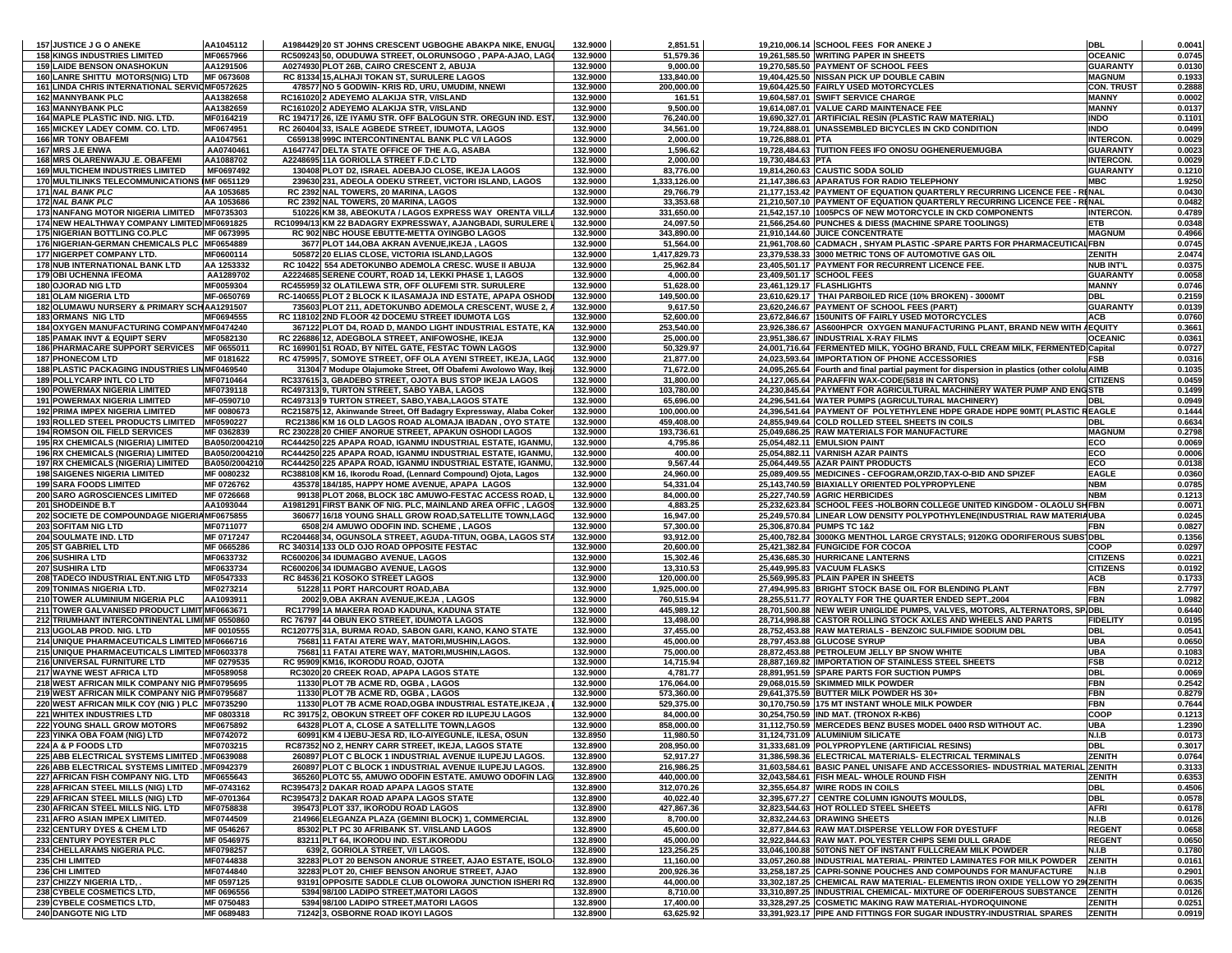| 157 JUSTICE J G O ANEKE                                                                          | AA1045112                     | A1984429 20 ST JOHNS CRESCENT UGBOGHE ABAKPA NIKE, ENUGL                                                                        | 132.9000             | 2,851.51                  |                           | 19,210,006.14 SCHOOL FEES FOR ANEKE J                                                                                                          | <b>DBL</b>                          | 0.0041           |
|--------------------------------------------------------------------------------------------------|-------------------------------|---------------------------------------------------------------------------------------------------------------------------------|----------------------|---------------------------|---------------------------|------------------------------------------------------------------------------------------------------------------------------------------------|-------------------------------------|------------------|
| <b>158 KINGS INDUSTRIES LIMITED</b>                                                              | MF0657966                     | RC509243 50, ODUDUWA STREET, OLORUNSOGO, PAPA-AJAO, LAGO                                                                        | 132.9000             | 51,579.36                 |                           | 19,261,585.50 WRITING PAPER IN SHEETS                                                                                                          | <b>OCEANIC</b>                      | 0.0745           |
| <b>159 LAIDE BENSON ONASHOKUN</b>                                                                | AA1291506                     | A0274930 PLOT 26B, CAIRO CRESCENT 2, ABUJA                                                                                      | 132.9000             | 9,000.00                  |                           | 19,270,585.50 PAYMENT OF SCHOOL FEES                                                                                                           | <b>GUARANTY</b>                     | 0.0130           |
| <b>160 LANRE SHITTU MOTORS(NIG) LTD</b><br>161 LINDA CHRIS INTERNATIONAL SERVIOMF0572625         | MF 0673608                    | RC 81334 15, ALHAJI TOKAN ST, SURULERE LAGOS<br>478577 NO 5 GODWIN- KRIS RD, URU, UMUDIM, NNEWI                                 | 132.9000<br>132.9000 | 133,840.00<br>200,000.00  |                           | 19,404,425.50 NISSAN PICK UP DOUBLE CABIN<br>19.604.425.50 FAIRLY USED MOTORCYCLES                                                             | <b>MAGNUM</b><br><b>CON. TRUST</b>  | 0.1933           |
| <b>162 MANNYBANK PLC</b>                                                                         | AA1382658                     | RC161020 2 ADEYEMO ALAKIJA STR, V/ISLAND                                                                                        | 132.9000             | 161.51                    |                           | 19,604,587.01 SWIFT SERVICE CHARGE                                                                                                             | <b>MANNY</b>                        | 0.2888<br>0.0002 |
| <b>163 MANNYBANK PLC</b>                                                                         | AA1382659                     | RC161020 2 ADEYEMO ALAKIJA STR, V/ISLAND                                                                                        | 132.9000             | 9,500.00                  |                           | 19,614,087.01 VALUE CARD MAINTENACE FEE                                                                                                        | <b>MANNY</b>                        | 0.0137           |
| 164 MAPLE PLASTIC IND. NIG. LTD.                                                                 | MF0164219                     | RC 194717 26, IZE IYAMU STR. OFF BALOGUN STR. OREGUN IND. EST.                                                                  | 132.9000             | 76,240.00                 |                           | 19,690,327.01 ARTIFICIAL RESIN (PLASTIC RAW MATERIAL)                                                                                          | <b>INDO</b>                         | 0.1101           |
| 165 MICKEY LADEY COMM. CO. LTD.                                                                  | MF0674951                     | RC 260404 33, ISALE AGBEDE STREET, IDUMOTA, LAGOS                                                                               | 132.9000             | 34,561.00                 |                           | 19,724,888.01 UNASSEMBLED BICYCLES IN CKD CONDITION                                                                                            | <b>INDO</b>                         | 0.0499           |
| <b>166 MR TONY OBAFEMI</b>                                                                       | AA1047561                     | C659138 999C INTERCONTINENTAL BANK PLC V/I LAGOS                                                                                | 132.9000             | 2,000.00                  | 19,726,888.01 PTA         |                                                                                                                                                | <b>INTERCON.</b>                    | 0.0029           |
| 167 MRS J.E ENWA                                                                                 | AA0740461                     | A1647747 DELTA STATE OFFICE OF THE A.G, ASABA                                                                                   | 132.9000             | 1,596.62                  |                           | 19,728,484.63 TUITION FEES IFO ONOSU OGHENERUEMUGBA                                                                                            | <b>GUARANTY</b>                     | 0.0023           |
| 168 MRS OLARENWAJU .E. OBAFEMI                                                                   | AA1088702                     | A2248695 11A GORIOLLA STREET F.D.C LTD                                                                                          | 132.9000             | 2,000.00                  | 19,730,484.63 PTA         |                                                                                                                                                | <b>INTERCON.</b>                    | 0.0029           |
| <b>169 MULTICHEM INDUSTRIES LIMITED</b>                                                          | MF0697492                     | 130408 PLOT D2, ISRAEL ADEBAJO CLOSE, IKEJA LAGOS                                                                               | 132.9000             | 83,776.00                 |                           | 19,814,260.63 CAUSTIC SODA SOLID                                                                                                               | <b>GUARANTY</b>                     | 0.1210           |
| 170 MULTILINKS TELECOMMUNICATIONS IMF 0651129<br>171 NAL BANK PLC                                | AA 1053685                    | 239630 231, ADEOLA ODEKU STREET, VICTORI ISLAND, LAGOS<br>RC 2392 NAL TOWERS, 20 MARINA, LAGOS                                  | 132.9000<br>132.9000 | 1,333,126.00<br>29,766.79 |                           | 21,147,386.63 APARATUS FOR RADIO TELEPHONY<br>21,177,153.42 PAYMENT OF EQUATION QUARTERLY RECURRING LICENCE FEE - RINAL                        | <b>MBC</b>                          | 1.9250<br>0.0430 |
| 172 NAL BANK PLC                                                                                 | AA 1053686                    | RC 2392 NAL TOWERS, 20 MARINA, LAGOS                                                                                            | 132.9000             | 33,353.68                 |                           | 21,210,507.10 PAYMENT OF EQUATION QUARTERLY RECURRING LICENCE FEE - RENAL                                                                      |                                     | 0.0482           |
| 173 NANFANG MOTOR NIGERIA LIMITED MF0735303                                                      |                               | 510226 KM 38, ABEOKUTA / LAGOS EXPRESS WAY ORENTA VILLA                                                                         | 132.9000             | 331,650.00                |                           | 21,542,157.10 1005PCS OF NEW MOTORCYCLE IN CKD COMPONENTS                                                                                      | <b>INTERCON.</b>                    | 0.4789           |
| 174 NEW HEALTHWAY COMPANY LIMITED MF0691825                                                      |                               | RC10994/13 KM 22 BADAGRY EXPRESSWAY, AJANGBADI, SURULERE I                                                                      | 132.9000             | 24,097.50                 |                           | 21,566,254.60 PUNCHES & DIESS (MACHINE SPARE TOOLINGS)                                                                                         | ETB                                 | 0.0348           |
| 175 NIGERIAN BOTTLING CO.PLC                                                                     | MF 0673995                    | RC 902 NBC HOUSE EBUTTE-METTA OYINGBO LAGOS                                                                                     | 132.9000             | 343,890.00                |                           | 21,910,144.60 JUICE CONCENTRATE                                                                                                                | <b>MAGNUM</b>                       | 0.4966           |
| 176 NIGERIAN-GERMAN CHEMICALS PLC MF0654889                                                      |                               | 3677 PLOT 144, OBA AKRAN AVENUE, IKEJA, LAGOS                                                                                   | 132.9000             | 51,564.00                 |                           | 21,961,708.60 CADMACH, SHYAM PLASTIC -SPARE PARTS FOR PHARMACEUTICAL FBN                                                                       |                                     | 0.0745           |
| 177 NIGERPET COMPANY LTD.<br><b>178 NUB INTERNATIONAL BANK LTD</b>                               | MF0600114                     | 505872 20 ELIAS CLOSE, VICTORIA ISLAND, LAGOS                                                                                   | 132.9000             | 1,417,829.73              |                           | 23,379,538.33 3000 METRIC TONS OF AUTOMOTIVE GAS OIL                                                                                           | ZENITH                              | 2.0474           |
| <b>179 OBI UCHENNA IFEOMA</b>                                                                    | AA 1253332<br>AA1289702       | RC 10422 554 ADETOKUNBO ADEMOLA CRESC. WUSE II ABUJA<br>A2224685 SERENE COURT, ROAD 14, LEKKI PHASE 1, LAGOS                    | 132.9000<br>132.9000 | 25,962.84<br>4,000.00     | 23,409,501.17 SCHOOL FEES | 23,405,501.17 PAYMENT FOR RECURRENT LICENCE FEE.                                                                                               | <b>NUB INT'L</b><br><b>GUARANTY</b> | 0.0375<br>0.0058 |
| 180 OJORAD NIG LTD                                                                               | MF0059304                     | RC455959 32 OLATILEWA STR, OFF OLUFEMI STR. SURULERE                                                                            | 132.9000             | 51,628.00                 | 23,461,129.17 FLASHLIGHTS |                                                                                                                                                | <b>MANNY</b>                        | 0.0746           |
| <b>181 OLAM NIGERIA LTD</b>                                                                      | MF-0650769                    | RC-140655 PLOT 2 BLOCK K ILASAMAJA IND ESTATE, APAPA OSHOD                                                                      | 132.9000             | 149,500.00                |                           | 23,610,629.17 THAI PARBOILED RICE (10% BROKEN) - 3000MT                                                                                        | DBL                                 | 0.2159           |
| 182 OLUMAWU NURSERY & PRIMARY SCHAA1291507                                                       |                               | 735603 PLOT 211, ADETOKUNBO ADEMOLA CRESCENT, WUSE 2, /                                                                         | 132.9000             | 9,617.50                  |                           | 23,620,246.67 PAYMENT OF SCHOOL FEES (PART)                                                                                                    | <b>GUARANTY</b>                     | 0.0139           |
| <b>183 ORMANS NIG LTD</b>                                                                        | MF0694555                     | RC 118102 2ND FLOOR 42 DOCEMU STREET IDUMOTA LGS                                                                                | 132.9000             | 52,600.00                 |                           | 23,672,846.67 150UNITS OF FAIRLY USED MOTORCYCLES                                                                                              | <b>ACB</b>                          | 0.0760           |
| 184 OXYGEN MANUFACTURING COMPANY MF0474240                                                       |                               | 367122 PLOT D4, ROAD D, MANDO LIGHT INDUSTRIAL ESTATE, KA                                                                       | 132.9000             | 253,540.00                |                           | 23,926,386.67 AS600HPCR OXYGEN MANUFACTURING PLANT, BRAND NEW WITH AEQUITY                                                                     |                                     | 0.3661           |
| <b>185 PAMAK INVT &amp; EQUIPT SERV</b>                                                          | MF0582130                     | RC 226886 12, ADEGBOLA STREET, ANIFOWOSHE, IKEJA                                                                                | 132.9000             | 25,000.00                 |                           | 23,951,386.67  INDUSTRIAL X-RAY FILMS                                                                                                          | <b>OCEANIC</b>                      | 0.0361           |
| 186 PHARMACARE SUPPORT SERVICES MF 065501<br><b>187 PHONECOM LTD</b>                             | MF 0181622                    | RC 169901 51 ROAD, BY NITEL GATE, FESTAC TOWN LAGOS                                                                             | 132.9000<br>132.9000 | 50,329.97<br>21,877.00    |                           | 24,001,716.64 FERMENTED MILK, YOGHO BRAND, FULL CREAM MILK, FERMENTED Capital                                                                  | FSB                                 | 0.0727<br>0.0316 |
| 188 PLASTIC PACKAGING INDUSTRIES LIMMF0469540                                                    |                               | RC 475995 7, SOMOYE STREET, OFF OLA AYENI STREET, IKEJA, LAGO<br>31304 7 Modupe Olajumoke Street, Off Obafemi Awolowo Way, Ikej | 132.9000             | 71,672.00                 |                           | 24,023,593.64 IMPORTATION OF PHONE ACCESSORIES<br>24,095,265.64 Fourth and final partial payment for dispersion in plastics (other cololu AIMB |                                     | 0.1035           |
| <b>189 POLLYCARP INTL CO LTD</b>                                                                 | MF0710464                     | RC337615 3, GBADEBO STREET, OJOTA BUS STOP IKEJA LAGOS                                                                          | 132.9000             | 31,800.00                 |                           | 24,127,065.64 PARAFFIN WAX-CODE(5818 IN CARTONS)                                                                                               | <b>CITIZENS</b>                     | 0.0459           |
| <b>190 POWERMAX NIGERIA LIMITED</b>                                                              | MF0739118                     | RC497313 9, TURTON STREET, SABO YABA, LAGOS                                                                                     | 132.9000             | 103,780.00                |                           | 24,230,845.64 PAYMENT FOR AGRICULTURAL MACHINERY WATER PUMP AND ENGSTB                                                                         |                                     | 0.1499           |
| 191 POWERMAX NIGERIA LIMITED                                                                     | MF-0590710                    | RC497313 9 TURTON STREET, SABO, YABA, LAGOS STATE                                                                               | 132.9000             | 65,696.00                 |                           | 24,296,541.64 WATER PUMPS (AGRICULTURAL MACHINERY)                                                                                             | DBL                                 | 0.0949           |
| <b>192 PRIMA IMPEX NIGERIA LIMITED</b>                                                           | MF 0080673                    | RC215875 12, Akinwande Street, Off Badagry Expressway, Alaba Coker                                                              | 132.9000             | 100,000.00                |                           | 24,396,541.64 PAYMENT OF POLYETHYLENE HDPE GRADE HDPE 90MT( PLASTIC REAGLE                                                                     |                                     | 0.1444           |
| <b>193 ROLLED STEEL PRODUCTS LIMITED</b>                                                         | MF0590227                     | RC21386 KM 16 OLD LAGOS ROAD ALOMAJA IBADAN, OYO STATE                                                                          | 132.9000             | 459,408.00                |                           | 24,855,949.64 COLD ROLLED STEEL SHEETS IN COILS                                                                                                | DBL                                 | 0.6634           |
| <b>194 ROMSON OIL FIELD SERVICES</b>                                                             | MF 0362839                    | RC 230228 20 CHIEF ANORUE STREET, APAKUN OSHODI LAGOS                                                                           | 132.9000             | 193,736.61                |                           | 25,049,686.25 RAW MATERIALS FOR MANUFACTURE                                                                                                    | <b>MAGNUM</b>                       | 0.2798           |
| 195 RX CHEMICALS (NIGERIA) LIMITED<br>196 RX CHEMICALS (NIGERIA) LIMITED                         | BA050/200421<br>BA050/2004210 | RC444250 225 APAPA ROAD, IGANMU INDUSTRIAL ESTATE, IGANMU,<br>RC444250 225 APAPA ROAD, IGANMU INDUSTRIAL ESTATE, IGANMU,        | 132.9000<br>132.9000 | 4,795.86<br>400.00        |                           | 25,054,482.11 EMULSION PAINT<br>25,054,882.11 VARNISH AZAR PAINTS                                                                              | ECO<br>ECO                          | 0.0069<br>0.0006 |
| 197 RX CHEMICALS (NIGERIA) LIMITED                                                               | BA050/2004210                 | RC444250 225 APAPA ROAD, IGANMU INDUSTRIAL ESTATE, IGANMU,                                                                      | 132.9000             | 9,567.44                  |                           | 25,064,449.55 AZAR PAINT PRODUCTS                                                                                                              | ECO                                 | 0.0138           |
| <b>198 SAIGENES NIGERIA LIMITED</b>                                                              | MF 0080232                    | RC388108 KM 16, Ikorodu Road, (Lennard Compound) Ojota, Lagos                                                                   | 132.9000             | 24,960.00                 |                           | 25,089,409.55 MEDICINES - CEFOGRAM, ORZID, TAX-O-BID AND SPIZEF                                                                                | <b>EAGLE</b>                        | 0.0360           |
| <b>199 SARA FOODS LIMITED</b>                                                                    | MF 0726762                    | 435378 184/185, HAPPY HOME AVENUE, APAPA LAGOS                                                                                  | 132.9000             | 54,331.04                 |                           | 25,143,740.59 BIAXIALLY ORIENTED POLYPROPYLENE                                                                                                 | <b>NBM</b>                          | 0.0785           |
| 200 SARO AGROSCIENCES LIMITED                                                                    | MF 0726668                    | 99138 PLOT 2068, BLOCK 18C AMUWO-FESTAC ACCESS ROAD,                                                                            | 132.9000             | 84,000.00                 |                           | 25,227,740.59 AGRIC HERBICIDES                                                                                                                 | <b>NBM</b>                          | 0.1213           |
| 201 SHODEINDE B.T                                                                                | AA1093044                     | A1981291 FIRST BANK OF NIG. PLC, MAINLAND AREA OFFIC, LAGOS                                                                     | 132.9000             | 4,883.25                  |                           | 25,232,623.84 SCHOOL FEES -HOLBORN COLLEGE UNITED KINGDOM - OLAOLU SHFBN                                                                       |                                     | 0.0071           |
| 202 SOCIETE DE COMPOUNDAGE NIGERIA MF0675855                                                     |                               | 360677 16/18 YOUNG SHALL GROW ROAD, SATELLITE TOWN, LAGO                                                                        | 132.9000             | 16,947.00                 |                           | 25,249,570.84 LINEAR LOW DENSITY POLYPOTHYLENE(INDUSTRIAL RAW MATERIAUBA                                                                       |                                     | 0.0245           |
| 203 SOFITAM NIG LTD<br>204 SOULMATE IND. LTD                                                     | MF0711077<br>MF 0717247       | 6508 2/4 AMUWO ODOFIN IND. SCHEME, LAGOS<br>RC204468 34, OGUNSOLA STREET, AGUDA-TITUN, OGBA, LAGOS STA                          | 132.9000<br>132.9000 | 57,300.00<br>93,912.00    |                           | 25,306,870.84 PUMPS TC 1&2<br>25,400,782.84 3000KG MENTHOL LARGE CRYSTALS; 9120KG ODORIFEROUS SUBS DBL                                         | FBN                                 | 0.0827<br>0.1356 |
| 205 ST GABRIEL LTD                                                                               | MF 0665286                    | RC 340314 133 OLD OJO ROAD OPPOSITE FESTAC                                                                                      | 132.9000             | 20,600.00                 |                           | 25,421,382.84 FUNGICIDE FOR COCOA                                                                                                              | COOP                                | 0.0297           |
| 206 SUSHIRA LTD                                                                                  | MF0633732                     | RC600206 34 IDUMAGBO AVENUE, LAGOS                                                                                              | 132.9000             | 15,302.46                 |                           | 25,436,685.30 HURRICANE LANTERNS                                                                                                               | <b>CITIZENS</b>                     | 0.0221           |
| 207 SUSHIRA LTD                                                                                  | MF0633734                     | RC600206 34 IDUMAGBO AVENUE, LAGOS                                                                                              | 132.9000             | 13,310.53                 |                           | 25,449,995.83 VACUUM FLASKS                                                                                                                    | <b>CITIZENS</b>                     | 0.0192           |
| 208 TADECO INDUSTRIAL ENT.NIG LTD                                                                | MF0547333                     | RC 84536 21 KOSOKO STREET LAGOS                                                                                                 | 132.9000             | 120,000.00                |                           | 25,569,995.83 PLAIN PAPER IN SHEETS                                                                                                            | ACB                                 | 0.1733           |
| 209 TONIMAS NIGERIA LTD.                                                                         | MF0273214                     | 51228 11 PORT HARCOURT ROAD, ABA                                                                                                | 132.9000             | 1,925,000.00              |                           | 27,494,995.83 BRIGHT STOCK BASE OIL FOR BLENDING PLANT                                                                                         | <b>FBN</b>                          | 2.7797           |
| 210 TOWER ALUMINIUM NIGERIA PLC<br>211 TOWER GALVANISED PRODUCT LIMIT MF0663671                  | AA1093911                     | 2002 9, OBA AKRAN AVENUE, IKEJA, LAGOS<br>RC17799 1A MAKERA ROAD KADUNA, KADUNA STATE                                           | 132.9000<br>132.9000 | 760,515.94<br>445,989.12  |                           | 28,255,511.77 ROYALTY FOR THE QUARTER ENDED SEPT.,2004<br>28,701,500.88 NEW WEIR UNIGLIDE PUMPS, VALVES, MOTORS, ALTERNATORS, SPIDBL           | FBN                                 | 1.0982<br>0.6440 |
| 212 TRIUMHANT INTERCONTINENTAL LIMINF 0550860                                                    |                               | RC 76797 44 OBUN EKO STREET, IDUMOTA LAGOS                                                                                      | 132.9000             | 13,498.00                 |                           | 28,714,998.88 CASTOR ROLLING STOCK AXLES AND WHEELS AND PARTS                                                                                  | <b>FIDELITY</b>                     | 0.0195           |
| 213 UGOLAB PROD. NIG. LTD                                                                        | MF 0010555                    | RC120775 31A, BURMA ROAD, SABON GARI, KANO, KANO STATE                                                                          | 132.9000             | 37,455.00                 |                           | 28,752,453.88 RAW MATERIALS - BENZOIC SULFIMIDE SODIUM DBL                                                                                     | DBL                                 | 0.0541           |
| 214 UNIQUE PHARMACEUTICALS LIMITED MF0666716                                                     |                               | 75681 11 FATAI ATERE WAY, MATORI, MUSHIN, LAGOS.                                                                                | 132.9000             | 45,000.00                 |                           | 28.797.453.88 GLUCOSE SYRUP                                                                                                                    | UBA                                 | 0.0650           |
| 215 UNIQUE PHARMACEUTICALS LIMITED MF0603378                                                     |                               | 75681 11 FATAI ATERE WAY, MATORI, MUSHIN, LAGOS.                                                                                | 132.9000             | 75,000.00                 |                           | 28,872,453.88 PETROLEUM JELLY BP SNOW WHITE                                                                                                    | UBA                                 | 0.1083           |
| 216 UNIVERSAL FURNITURE LTD                                                                      | MF 0279535                    | RC 95909 KM16, IKORODU ROAD, OJOTA                                                                                              | 132.9000             | 14,715.94                 |                           | 28,887,169.82 IMPORTATION OF STAINLESS STEEL SHEETS                                                                                            | FSB                                 | 0.0212           |
| 217 WAYNE WEST AFRICA LTD                                                                        | MF0589058                     | RC3020 20 CREEK ROAD, APAPA LAGOS STATE                                                                                         | 132.9000             | 4,781.77                  |                           | 28,891,951.59 SPARE PARTS FOR SUCTION PUMPS                                                                                                    | <b>DBL</b>                          | 0.0069           |
| 218 WEST AFRICAN MILK COMPANY NIG PMF0795695<br>219 WEST AFRICAN MILK COMPANY NIG PMF0795687     |                               | 11330 PLOT 7B ACME RD, OGBA, LAGOS<br>11330 PLOT 7B ACME RD, OGBA, LAGOS                                                        | 132.9000<br>132.9000 | 176,064.00<br>573,360.00  |                           | 29,068,015.59 SKIMMED MILK POWDER<br>29,641,375.59 BUTTER MILK POWDER HS 30+                                                                   | FBN<br>FBN                          | 0.2542<br>0.8279 |
| 220 WEST AFRICAN MILK COY (NIG ) PLC MF0735290                                                   |                               | 11330 PLOT 7B ACME ROAD, OGBA INDUSTRIAL ESTATE, IKEJA                                                                          | 132.9000             | 529,375.00                |                           | 30,170,750.59 175 MT INSTANT WHOLE MILK POWDER                                                                                                 | FBN                                 | 0.7644           |
| 221 WHITEX INDUSTRIES LTD                                                                        | MF 0803318                    | RC 39175 2, OBOKUN STREET OFF COKER RD ILUPEJU LAGOS                                                                            | 132.9000             | 84,000.00                 |                           | 30,254,750.59 IND MAT. (TRONOX R-KB6)                                                                                                          | COOP                                | 0.1213           |
| <b>222 YOUNG SHALL GROW MOTORS</b>                                                               | MF0675892                     | 64328 PLOT A, CLOSE A SATELLITE TOWN,LAGOS                                                                                      | 132.9000             | 858.000.00                |                           | 31,112,750.59 MERCEDES BENZ BUSES MODEL 0400 RSD WITHOUT AC.                                                                                   | UBA                                 | 1.2390           |
| 223 YINKA OBA FOAM (NIG) LTD                                                                     | MF0742072                     | 60991 KM 4 IJEBU-JESA RD, ILO-AIYEGUNLE, ILESA, OSUN                                                                            | 132.8950             | 11,980.50                 |                           | 31,124,731.09 ALUMINIUM SILICATE                                                                                                               | N.I.B                               | 0.0173           |
| 224 A & P FOODS LTD                                                                              | MF0703215                     | RC87352 NO 2, HENRY CARR STREET, IKEJA, LAGOS STATE                                                                             | 132.8900             | 208,950.00                |                           | 31,333,681.09 POLYPROPYLENE (ARTIFICIAL RESINS)                                                                                                | <b>DBL</b>                          | 0.3017           |
| 225 ABB ELECTRICAL SYSTEMS LIMITED . MF0639088<br>226 ABB ELECTRICAL SYSTEMS LIMITED . MF0942379 |                               | 260897 PLOT C BLOCK 1 INDUSTRIAL AVENUE ILUPEJU LAGOS.<br>260897 PLOT C BLOCK 1 INDUSTRIAL AVENUE ILUPEJU LAGOS.                | 132.8900<br>132.8900 | 52,917.27<br>216,986.25   |                           | 31,386,598.36 ELECTRICAL MATERIALS- ELECTRICAL TERMINALS<br>31.603.584.61 BASIC PANEL UNISAFE AND ACCESSORIES- INDUSTRIAL MATERIAL ZENITH      | ZENITH                              | 0.0764<br>0.3133 |
| 227 AFRICAN FISH COMPANY NIG. LTD                                                                | MF0655643                     | 365260 PLOTC 55, AMUWO ODOFIN ESTATE. AMUWO ODOFIN LAG                                                                          | 132.8900             | 440,000.00                |                           | 32.043.584.61 FISH MEAL-WHOLE ROUND FISH                                                                                                       | ZENITH                              | 0.6353           |
| 228 AFRICAN STEEL MILLS (NIG) LTD                                                                | MF-0743162                    | RC395473 2 DAKAR ROAD APAPA LAGOS STATE                                                                                         | 132.8900             | 312,070.26                |                           | 32.355.654.87 WIRE RODS IN COILS                                                                                                               | DBL                                 | 0.4506           |
| 229 AFRICAN STEEL MILLS (NIG) LTD                                                                | MF-0701364                    | RC395473 2 DAKAR ROAD APAPA LAGOS STATE                                                                                         | 132.8900             | 40,022.40                 |                           | 32,395,677.27 CENTRE COLUMN IGNOUTS MOULDS,                                                                                                    | <b>DBL</b>                          | 0.0578           |
| 230 AFRICAN STEEL MILLS NIG. LTD                                                                 | MF0758838                     | 395473 PLOT 337, IKORODU ROAD LAGOS                                                                                             | 132.8900             | 427,867.36                |                           | 32,823,544.63 HOT ROLLED STEEL SHEETS                                                                                                          | <b>AFRI</b>                         | 0.6178           |
| 231 AFRO ASIAN IMPEX LIMITED.                                                                    | MF0744509                     | 214966 ELEGANZA PLAZA (GEMINI BLOCK) 1, COMMERCIAL                                                                              | 132.8900             | 8,700.00                  |                           | 32.832.244.63 DRAWING SHEETS                                                                                                                   | N.I.B                               | 0.0126           |
| 232 CENTURY DYES & CHEM LTD<br>233 CENTURY POYESTER PLC                                          | MF 0546267<br>MF 0546975      | 85302 PLT PC 30 AFRIBANK ST. V/ISLAND LAGOS<br>83211 PLT 64, IKORODU IND. EST.IKORODU                                           | 132.8900<br>132.8900 | 45,600.00<br>45,000.00    |                           | 32,877,844.63 RAW MAT.DISPERSE YELLOW FOR DYESTUFF<br>32,922,844.63 RAW MAT. POLYESTER CHIPS SEMI DULL GRADE                                   | <b>REGENT</b><br><b>REGENT</b>      | 0.0658<br>0.0650 |
| 234 CHELLARAMS NIGERIA PLC.                                                                      | MF0798257                     | 639 2, GORIOLA STREET, V/I LAGOS.                                                                                               | 132.8900             | 123,256.25                |                           | 33.046.100.88 50TONS NET OF INSTANT FULLCREAM MILK POWDER                                                                                      | N.I.B                               | 0.1780           |
| 235 CHI LIMITED                                                                                  | MF0744838                     | 32283 PLOT 20 BENSON ANORUE STREET, AJAO ESTATE, ISOLO                                                                          | 132.8900             | 11,160.00                 |                           | 33,057,260.88 INDUSTRIAL MATERIAL- PRINTED LAMINATES FOR MILK POWDER                                                                           | <b>ZENITH</b>                       | 0.0161           |
| 236 CHI LIMITED                                                                                  | MF0744840                     | 32283 PLOT 20, CHIEF BENSON ANORUE STREET, AJAO                                                                                 | 132.8900             | 200,926.36                |                           | 33,258,187.25 CAPRI-SONNE POUCHES AND COMPOUNDS FOR MANUFACTURE                                                                                | N.I.B                               | 0.2901           |
| 237 CHIZZY NIGERIA LTD, .                                                                        | MF 0597125                    | 93191 OPPOSITE SADDLE CLUB OLOWORA JUNCTION ISHERI RO                                                                           | 132.8900             | 44,000.00                 |                           | 33,302,187.25 CHEMICAL RAW MATERIAL- ELEMENTIS IRON OXIDE YELLOW YO 29(ZENITH                                                                  |                                     | 0.0635           |
| 238 CYBELE COSMETICS LTD,                                                                        | MF 0696556                    | 5394 98/100 LADIPO STREET, MATORI LAGOS                                                                                         | 132.8900             | 8,710.00                  |                           | 33,310,897.25 INDUSTRIAL CHEMICAL- MIXTURE OF ODERIFEROUS SUBSTANCE                                                                            | <b>ZENITH</b>                       | 0.0126           |
| 239 CYBELE COSMETICS LTD,<br><b>240 DANGOTE NIG LTD</b>                                          | MF 0750483<br>MF 0689483      | 5394 98/100 LADIPO STREET, MATORI LAGOS<br>71242 3, OSBORNE ROAD IKOYI LAGOS                                                    | 132.8900<br>132.8900 | 17,400.00                 |                           | 33,328,297.25 COSMETIC MAKING RAW MATERIAL-HYDROQUINONE<br>33,391,923.17 PIPE AND FITTINGS FOR SUGAR INDUSTRY-INDUSTRIAL SPARES                | <b>ZENITH</b><br><b>ZENITH</b>      | 0.0251           |
|                                                                                                  |                               |                                                                                                                                 |                      | 63,625.92                 |                           |                                                                                                                                                |                                     | 0.0919           |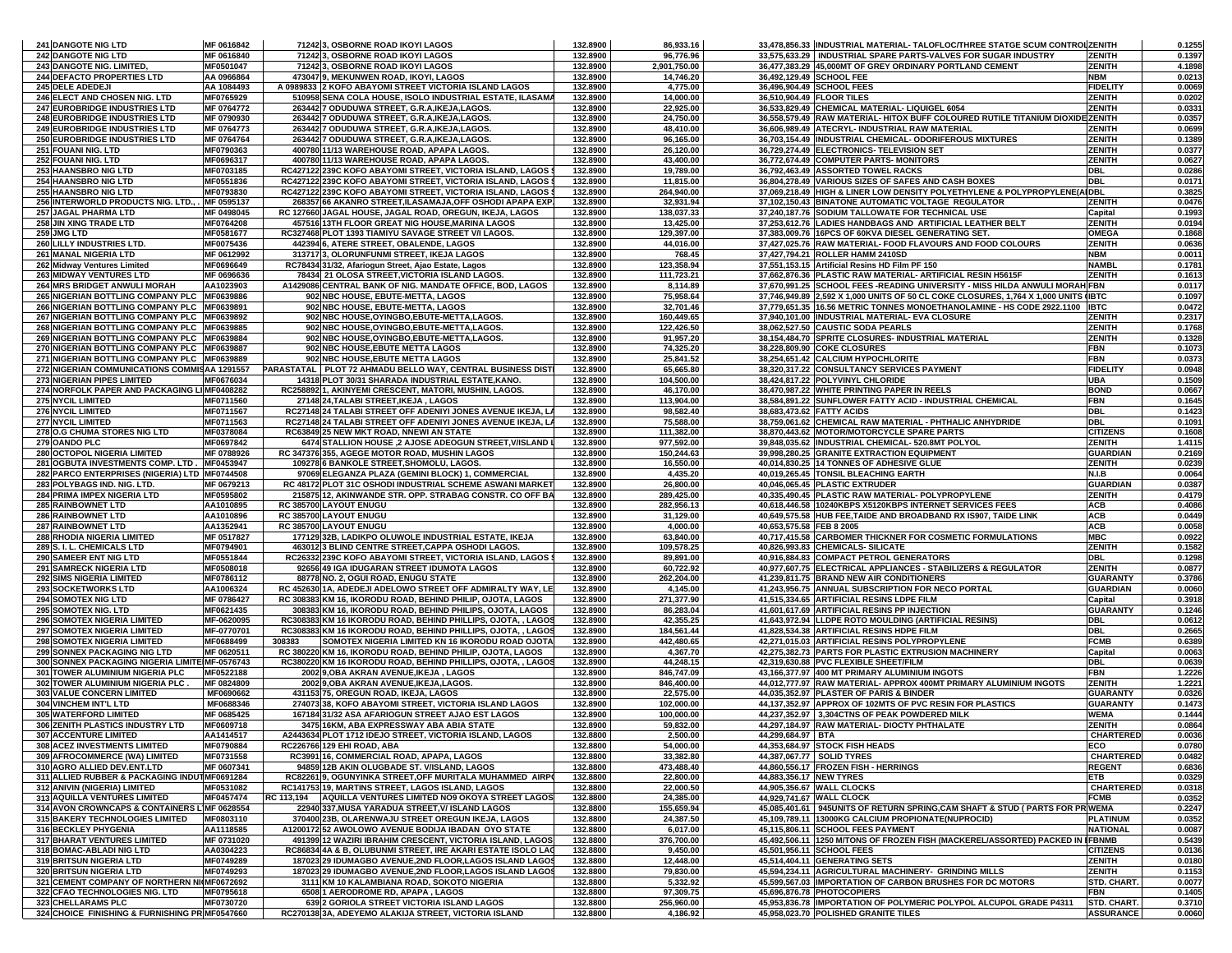| 241 DANGOTE NIG LTD                                                                        | MF 0616842               |        | 71242 3, OSBORNE ROAD IKOYI LAGOS                                                                                        | 132.8900             | 86,933.16                 |                           | 33,478,856.33 INDUSTRIAL MATERIAL- TALOFLOC/THREE STATGE SCUM CONTROL ZENITH                                                                                       |                           | 0.1255           |
|--------------------------------------------------------------------------------------------|--------------------------|--------|--------------------------------------------------------------------------------------------------------------------------|----------------------|---------------------------|---------------------------|--------------------------------------------------------------------------------------------------------------------------------------------------------------------|---------------------------|------------------|
| <b>242 DANGOTE NIG LTD</b>                                                                 | MF 0616840               |        | 71242 3, OSBORNE ROAD IKOYI LAGOS                                                                                        | 132.8900             | 96,776.96                 |                           | 33,575,633.29   INDUSTRIAL SPARE PARTS-VALVES FOR SUGAR INDUSTRY                                                                                                   | <b>ZENITH</b>             | 0.1397           |
| 243 DANGOTE NIG. LIMITED,<br>244 DEFACTO PROPERTIES LTD                                    | MF0501047<br>AA 0966864  |        | 71242 3, OSBORNE ROAD IKOYI LAGOS<br>473047 9, MEKUNWEN ROAD, IKOYI, LAGOS                                               | 132.8900<br>132.8900 | 2,901,750.00<br>14,746.20 | 36,492,129.49 SCHOOL FEE  | 36.477.383.29 45.000MT OF GREY ORDINARY PORTLAND CEMENT                                                                                                            | <b>ZENITH</b><br>NBM      | 4.1898<br>0.0213 |
| 245 DELE ADEDEJI                                                                           | AA 1084493               |        | A 0989833 2 KOFO ABAYOMI STREET VICTORIA ISLAND LAGOS                                                                    | 132.8900             | 4,775.00                  | 36,496,904.49 SCHOOL FEES |                                                                                                                                                                    | <b>FIDELITY</b>           | 0.0069           |
| 246 ELECT AND CHOSEN NIG. LTD                                                              | MF0765929                |        | 510958 SENA COLA HOUSE, ISOLO INDUSTRIAL ESTATE, ILASAMA                                                                 | 132.8900             | 14,000.00                 | 36,510,904.49 FLOOR TILES |                                                                                                                                                                    | ZENITH                    | 0.0202           |
| 247 EUROBRIDGE INDUSTRIES LTD<br>248 EUROBRIDGE INDUSTRIES LTD                             | MF 0764772               |        | 263442 7 ODUDUWA STREET, G.R.A, IKEJA, LAGOS.                                                                            | 132.8900             | 22,925.00                 |                           | 36,533,829.49 CHEMICAL MATERIAL- LIQUIGEL 6054<br>36,558,579.49 RAW MATERIAL- HITOX BUFF COLOURED RUTILE TITANIUM DIOXIDE ZENITH                                   | <b>ZENITH</b>             | 0.0331           |
| <b>249 EUROBRIDGE INDUSTRIES LTD</b>                                                       | MF 0790930<br>MF 0764773 |        | 263442 7 ODUDUWA STREET, G.R.A, IKEJA, LAGOS.<br>263442 7 ODUDUWA STREET, G.R.A, IKEJA, LAGOS.                           | 132.8900<br>132.8900 | 24,750.00<br>48,410.00    |                           | 36,606,989.49 ATECRYL- INDUSTRIAL RAW MATERIAL                                                                                                                     | ZENITH                    | 0.0357<br>0.0699 |
| 250 EUROBRIDGE INDUSTRIES LTD                                                              | MF 0764764               |        | 263442 7 ODUDUWA STREET, G.R.A, IKEJA, LAGOS.                                                                            | 132.8900             | 96,165.00                 |                           | 36,703,154.49  INDUSTRIAL CHEMICAL- ODORIFEROUS MIXTURES                                                                                                           | ZENITH                    | 0.1389           |
| 251 FOUANI NIG. LTD                                                                        | MF0790363                |        | 400780 11/13 WAREHOUSE ROAD, APAPA LAGOS.                                                                                | 132.8900             | 26,120.00                 |                           | 36,729,274.49 ELECTRONICS- TELEVISION SET                                                                                                                          | <b>ZENITH</b>             | 0.0377           |
| 252 FOUANI NIG. LTD                                                                        | MF0696317                |        | 400780 11/13 WAREHOUSE ROAD, APAPA LAGOS.                                                                                | 132.8900             | 43,400.00                 |                           | 36,772,674.49 COMPUTER PARTS- MONITORS                                                                                                                             | <b>ZENITH</b>             | 0.0627           |
| 253 HAANSBRO NIG LTD<br>254 HAANSBRO NIG LTD                                               | MF0703185<br>MF0551836   |        | RC427122 239C KOFO ABAYOMI STREET, VICTORIA ISLAND, LAGOS<br>RC427122 239C KOFO ABAYOMI STREET, VICTORIA ISLAND, LAGOS   | 132.8900<br>132.8900 | 19,789.00<br>11,815.00    |                           | 36,792,463.49 ASSORTED TOWEL RACKS<br>36,804,278.49 VARIOUS SIZES OF SAFES AND CASH BOXES                                                                          | DBL<br><b>DBL</b>         | 0.0286<br>0.0171 |
| <b>255 HAANSBRO NIG LTD</b>                                                                | MF0793830                |        | RC427122 239C KOFO ABAYOMI STREET, VICTORIA ISLAND, LAGOS (                                                              | 132.8900             | 264,940.00                |                           | 37,069,218.49 HIGH & LINER LOW DENSITY POLYETHYLENE & POLYPROPYLENE(AIDBL                                                                                          |                           | 0.3825           |
| 256 INTERWORLD PRODUCTS NIG. LTD., MF 0595137                                              |                          |        | 268357 66 AKANRO STREET, ILASAMAJA, OFF OSHODI APAPA EXP.                                                                | 132.8900             | 32,931.94                 |                           | 37,102,150.43 BINATONE AUTOMATIC VOLTAGE REGULATOR                                                                                                                 | ZENITH                    | 0.0476           |
| 257 JAGAL PHARMA LTD                                                                       | MF 0498045               |        | RC 127660 JAGAL HOUSE, JAGAL ROAD, OREGUN, IKEJA, LAGOS                                                                  | 132.8900             | 138,037.33                |                           | 37,240,187.76 SODIUM TALLOWATE FOR TECHNICAL USE                                                                                                                   | Capital                   | 0.1993           |
| 258 JIN XING TRADE LTD<br>259 JMG LTD                                                      | MF0764208<br>MF0581677   |        | 457516 13TH FLOOR GREAT NIG HOUSE, MARINA LAGOS<br>RC327468 PLOT 1393 TIAMIYU SAVAGE STREET V/I LAGOS.                   | 132.8900<br>132.8900 | 13,425.00<br>129,397.00   |                           | 37,253,612.76 LADIES HANDBAGS AND ARTIFICIAL LEATHER BELT<br>37,383,009.76 16PCS OF 60KVA DIESEL GENERATING SET.                                                   | ZENITH<br><b>OMEGA</b>    | 0.0194<br>0.1868 |
| 260 LILLY INDUSTRIES LTD.                                                                  | MF0075436                |        | 442394 6, ATERE STREET, OBALENDE, LAGOS                                                                                  | 132.8900             | 44,016.00                 |                           | 37,427,025.76 RAW MATERIAL- FOOD FLAVOURS AND FOOD COLOURS                                                                                                         | ZENITH                    | 0.0636           |
| 261 MANAL NIGERIA LTD                                                                      | MF 0612992               |        | 313717 3, OLORUNFUNMI STREET, IKEJA LAGOS                                                                                | 132.8900             | 768.45                    |                           | 37,427,794.21 ROLLER HAMM 2410SD                                                                                                                                   | NBM                       | 0.0011           |
| 262 Midway Ventures Limited                                                                | MF0696649                |        | RC78434 31/32, Afariogun Street, Ajao Estate, Lagos                                                                      | 132.8900             | 123,358.94                |                           | 37,551,153.15 Artificial Resins HD Film PF 150                                                                                                                     | NAMBL                     | 0.1781           |
| <b>263 MIDWAY VENTURES LTD</b>                                                             | MF 0696636               |        | 78434 21 OLOSA STREET, VICTORIA ISLAND LAGOS.                                                                            | 132.8900             | 111,723.21                |                           | 37,662,876.36 PLASTIC RAW MATERIAL- ARTIFICIAL RESIN H5615F                                                                                                        | ZENITH                    | 0.1613           |
| 264 MRS BRIDGET ANWULI MORAH<br>265 NIGERIAN BOTTLING COMPANY PLC MF0639886                | AA1023903                |        | A1429086 CENTRAL BANK OF NIG. MANDATE OFFICE, BOD, LAGOS<br>902 NBC HOUSE, EBUTE-METTA, LAGOS                            | 132.8900<br>132.8900 | 8,114.89<br>75,958.64     |                           | 37,670,991.25 SCHOOL FEES -READING UNIVERSITY - MISS HILDA ANWULI MORAH FBN<br>37,746,949.89 2,592 X 1,000 UNITS OF 50 CL COKE CLOSURES, 1,764 X 1,000 UNITS (IBTC |                           | 0.0117<br>0.1097 |
| 266 NIGERIAN BOTTLING COMPANY PLC MF0639891                                                |                          |        | 902 NBC HOUSE, EBUTE-METTA, LAGOS                                                                                        | 132.8900             | 32,701.46                 |                           | 37,779,651.35 16.56 METRIC TONNES MONOETHANOLAMINE - HS CODE 2922.1100                                                                                             | <b>IBTC</b>               | 0.0472           |
| 267 NIGERIAN BOTTLING COMPANY PLC MF0639892                                                |                          |        | 902 NBC HOUSE, OYINGBO, EBUTE-METTA, LAGOS.                                                                              | 132.8900             | 160,449.65                |                           | 37,940,101.00 INDUSTRIAL MATERIAL- EVA CLOSURE                                                                                                                     | ZENITH                    | 0.2317           |
| 268 NIGERIAN BOTTLING COMPANY PLC MF0639885                                                |                          |        | 902 NBC HOUSE, OYINGBO, EBUTE-METTA, LAGOS.                                                                              | 132.8900             | 122,426.50                |                           | 38,062,527.50 CAUSTIC SODA PEARLS                                                                                                                                  | <b>ZENITH</b>             | 0.1768           |
| 269 NIGERIAN BOTTLING COMPANY PLC MF0639884<br>270 NIGERIAN BOTTLING COMPANY PLC MF0639887 |                          |        | 902 NBC HOUSE, OYINGBO, EBUTE-METTA, LAGOS.<br>902 NBC HOUSE, EBUTE METTA LAGOS                                          | 132.8900<br>132.8900 | 91,957.20<br>74,325.20    |                           | 38,154,484.70 SPRITE CLOSURES- INDUSTRIAL MATERIAL<br>38,228,809.90 COKE CLOSURES                                                                                  | ZENITH<br>FBN             | 0.1328<br>0.1073 |
| 271 NIGERIAN BOTTLING COMPANY PLC MF0639889                                                |                          |        | 902 NBC HOUSE, EBUTE METTA LAGOS                                                                                         | 132.8900             | 25,841.52                 |                           | 38,254,651.42 CALCIUM HYPOCHLORITE                                                                                                                                 | FBN                       | 0.0373           |
| 272 NIGERIAN COMMUNICATIONS COMMISAA 1291557                                               |                          |        | PARASTATAL PLOT 72 AHMADU BELLO WAY, CENTRAL BUSINESS DIST                                                               | 132.8900             | 65,665.80                 |                           | 38,320,317.22 CONSULTANCY SERVICES PAYMENT                                                                                                                         | <b>FIDELITY</b>           | 0.0948           |
| 273 NIGERIAN PIPES LIMITED                                                                 | MF0676034                |        | 14318 PLOT 30/31 SHARADA INDUSTRIAL ESTATE, KANO.                                                                        | 132.8900             | 104,500.00                |                           | 38,424,817.22 POLYVINYL CHLORIDE                                                                                                                                   | UBA                       | 0.1509           |
| 274 NORFOLK PAPER AND PACKAGING LI MF0408282<br>275 NYCIL LIMITED                          | MF0711560                |        | RC258892 1, AKINYEMI CRESCENT, MATORI, MUSHIN, LAGOS.<br>27148 24, TALABI STREET, IKEJA, LAGOS                           | 132.8900<br>132.8900 | 46,170.00<br>113,904.00   |                           | 38,470,987.22 WHITE PRINTING PAPER IN REELS<br>38,584,891.22 SUNFLOWER FATTY ACID - INDUSTRIAL CHEMICAL                                                            | <b>BOND</b><br><b>FBN</b> | 0.0667<br>0.1645 |
| <b>276 NYCIL LIMITED</b>                                                                   | MF0711567                |        | RC27148 24 TALABI STREET OFF ADENIYI JONES AVENUE IKEJA, L                                                               | 132.8900             | 98,582.40                 | 38.683.473.62 FATTY ACIDS |                                                                                                                                                                    | DBL                       | 0.1423           |
| <b>277 NYCIL LIMITED</b>                                                                   | MF0711563                |        | RC27148 24 TALABI STREET OFF ADENIYI JONES AVENUE IKEJA, LA                                                              | 132.8900             | 75,588.00                 |                           | 38,759,061.62 CHEMICAL RAW MATERIAL - PHTHALIC ANHYDRIDE                                                                                                           | DBL                       | 0.1091           |
| 278 O.G CHUMA STORES NIG LTD                                                               | MF0378084                |        | RC63849 25 NEW MKT ROAD, NNEWI AN STATE                                                                                  | 132.8900             | 111,382.00                |                           | 38,870,443.62 MOTOR/MOTORCYCLE SPARE PARTS                                                                                                                         | <b>CITIZENS</b>           | 0.1608           |
| 279 OANDO PLC<br>280 OCTOPOL NIGERIA LIMITED                                               | MF0697842<br>MF 0788926  |        | 6474 STALLION HOUSE, 2 AJOSE ADEOGUN STREET, V/ISLAND                                                                    | 132.8900<br>132.8900 | 977,592.00<br>150,244.63  |                           | 39,848,035.62 INDUSTRIAL CHEMICAL- 520.8MT POLYOL<br>39,998,280.25 GRANITE EXTRACTION EQUIPMENT                                                                    | ZENITH<br><b>GUARDIAN</b> | 1.4115           |
| 281 OGBUTA INVESTMENTS COMP. LTD. MF0453947                                                |                          |        | RC 347376 355, AGEGE MOTOR ROAD, MUSHIN LAGOS<br>109278 6 BANKOLE STREET, SHOMOLU, LAGOS.                                | 132.8900             | 16,550.00                 |                           | 40,014,830.25 14 TONNES OF ADHESIVE GLUE                                                                                                                           | ZENITH                    | 0.2169<br>0.0239 |
| 282 PARCO ENTERPRISES (NIGERIA) LTD MF0744508                                              |                          |        | 97069 ELEGANZA PLAZA (GEMINI BLOCK) 1, COMMERCIAL                                                                        | 132.8900             | 4,435.20                  |                           | 40,019,265.45 TONSIL BLEACHING EARTH                                                                                                                               | N.I.B                     | 0.0064           |
| 283 POLYBAGS IND. NIG. LTD.                                                                | MF 0679213               |        | RC 48172 PLOT 31C OSHODI INDUSTRIAL SCHEME ASWANI MARKET                                                                 | 132.8900             | 26,800.00                 |                           | 40,046,065.45 PLASTIC EXTRUDER                                                                                                                                     | <b>GUARDIAN</b>           | 0.0387           |
| 284 PRIMA IMPEX NIGERIA LTD                                                                | MF0595802                |        | 215875 12, AKINWANDE STR. OPP. STRABAG CONSTR. CO OFF BA                                                                 | 132.8900             | 289,425.00                |                           | 40,335,490.45 PLASTIC RAW MATERIAL- POLYPROPYLENE                                                                                                                  | ZENITH                    | 0.4179           |
| <b>285 RAINBOWNET LTD</b><br>286 RAINBOWNET LTD                                            | AA1010895<br>AA1010896   |        | RC 385700 LAYOUT ENUGU<br>RC 385700 LAYOUT ENUGU                                                                         | 132.8900<br>132.8900 | 282,956.13<br>31,129.00   |                           | 40,618,446.58 10240KBPS X5120KBPS INTERNET SERVICES FEES<br>40,649,575.58 HUB FEE, TAIDE AND BROADBAND RX IS907, TAIDE LINK                                        | ACB<br>ACB                | 0.4086<br>0.0449 |
| 287 RAINBOWNET LTD                                                                         | AA1352941                |        | RC 385700 LAYOUT ENUGU                                                                                                   | 132.8900             | 4,000.00                  | 40,653,575.58 FEB 8 2005  |                                                                                                                                                                    | ACB                       | 0.0058           |
| 288 RHODIA NIGERIA LIMITED                                                                 | MF 0517827               |        | 177129 32B, LADIKPO OLUWOLE INDUSTRIAL ESTATE, IKEJA                                                                     | 132.8900             | 63,840.00                 |                           | 40,717,415.58 CARBOMER THICKNER FOR COSMETIC FORMULATIONS                                                                                                          | MBC                       | 0.0922           |
| 289 S. I. L. CHEMICALS LTD                                                                 | MF0794901                |        | 463012 3 BLIND CENTRE STREET, CAPPA OSHODI LAGOS.                                                                        | 132.8900             | 109,578.25                |                           | 40,826,993.83 CHEMICALS- SILICATE                                                                                                                                  | <b>ZENITH</b>             | 0.1582           |
| 290 SAMEER ENT NIG LTD<br>291 SAMRECK NIGERIA LTD                                          | MF0551844<br>MF0508018   |        | RC26332 239C KOFO ABAYOMI STREET, VICTORIA ISLAND, LAGOS !<br>92656 49 IGA IDUGARAN STREET IDUMOTA LAGOS                 | 132.8900<br>132.8900 | 89,891.00<br>60,722.92    |                           | 40,916,884.83 COMPACT PETROL GENERATORS<br>40,977,607.75 ELECTRICAL APPLIANCES - STABILIZERS & REGULATOR                                                           | DBL<br>ZENITH             | 0.1298<br>0.0877 |
| 292 SIMS NIGERIA LIMITED                                                                   | MF0786112                |        | 88778 NO. 2, OGUI ROAD, ENUGU STATE                                                                                      | 132.8900             | 262,204.00                |                           | 41,239,811.75 BRAND NEW AIR CONDITIONERS                                                                                                                           | <b>GUARANTY</b>           | 0.3786           |
| 293 SOCKETWORKS LTD                                                                        | AA1006324                |        | RC 452630 1A, ADEDEJI ADELOWO STREET OFF ADMIRALTY WAY, LE                                                               | 132.8900             | 4,145.00                  |                           | 41,243,956.75 ANNUAL SUBSCRIPTION FOR NECO PORTAL                                                                                                                  | GUARDIAN                  | 0.0060           |
| 294 SOMOTEX NIG LTD                                                                        | MF 0786427               |        | RC 308383 KM 16, IKORODU ROAD, BEHIND PHILIP, OJOTA, LAGOS                                                               | 132.8900             | 271,377.90                |                           | 41,515,334.65 ARTIFICIAL RESINS LDPE FILM                                                                                                                          | Capital                   | 0.3918           |
| 295 SOMOTEX NIG. LTD<br>296 SOMOTEX NIGERIA LIMITED                                        | MF0621435<br>MF-0620095  |        | 308383 KM 16, IKORODU ROAD, BEHIND PHILIPS, OJOTA, LAGOS<br>RC308383 KM 16 IKORODU ROAD, BEHIND PHILLIPS, OJOTA, , LAGOS | 132.8900<br>132.8900 | 86,283.04<br>42,355.25    |                           | 41,601,617.69 ARTIFICIAL RESINS PP INJECTION<br>41,643,972.94 LLDPE ROTO MOULDING (ARTIFICIAL RESINS)                                                              | <b>GUARANTY</b><br>DBL    | 0.1246<br>0.0612 |
| 297 SOMOTEX NIGERIA LIMITED                                                                | MF-0770701               |        | RC308383 KM 16 IKORODU ROAD, BEHIND PHILLIPS, OJOTA, , LAGOS                                                             | 132.8900             | 184,561.44                |                           | 41,828,534.38 ARTIFICIAL RESINS HDPE FILM                                                                                                                          | DBL                       | 0.2665           |
| 298 SOMOTEX NIGERIA LIMITED                                                                | MF0688499                | 308383 | SOMOTEX NIGERIA LIMITED KN 16 IKORODU ROAD OJOTA                                                                         | 132.8900             | 442,480.65                |                           | 42,271,015.03 ARTIFICIAL RESINS POLYPROPYLENE                                                                                                                      | FCMB                      | 0.6389           |
| <b>299 SONNEX PACKAGING NIG LTD</b>                                                        | MF 0620511               |        | RC 380220 KM 16, IKORODU ROAD, BEHIND PHILIP, OJOTA, LAGOS                                                               | 132.8900             | 4,367.70                  |                           | 42.275.382.73 PARTS FOR PLASTIC EXTRUSION MACHINERY                                                                                                                | Capital                   | 0.0063           |
| 300 SONNEX PACKAGING NIGERIA LIMITE MF-0576743<br>301 TOWER ALUMINIUM NIGERIA PLC          | MF0522188                |        | RC380220 KM 16 IKORODU ROAD, BEHIND PHILLIPS, OJOTA, , LAGOS<br>2002 9, OBA AKRAN AVENUE, IKEJA, LAGOS                   | 132.8900<br>132.8900 | 44,248.15<br>846,747.09   |                           | 42,319,630.88 PVC FLEXIBLE SHEET/FILM<br>43,166,377.97 400 MT PRIMARY ALUMINIUM INGOTS                                                                             | <b>DBL</b><br>FBN         | 0.0639<br>1.2226 |
| 302 TOWER ALUMINIUM NIGERIA PLC.                                                           | MF 0824809               |        | 2002 9, OBA AKRAN AVENUE, IKEJA, LAGOS.                                                                                  | 132.8900             | 846,400.00                |                           | 44,012,777.97 RAW MATERIAL- APPROX 400MT PRIMARY ALUMINIUM INGOTS                                                                                                  | ZENITH                    | 1.2221           |
| 303 VALUE CONCERN LIMITED                                                                  | MF0690662                |        | 431153 75. OREGUN ROAD, IKEJA, LAGOS                                                                                     | 132.8900             | 22,575.00                 |                           | 44.035.352.97 PLASTER OF PARIS & BINDER                                                                                                                            | <b>GUARANTY</b>           | 0.0326           |
| 304 VINCHEM INT'L LTD                                                                      | MF0688346                |        | 274073 38, KOFO ABAYOMI STREET, VICTORIA ISLAND LAGOS                                                                    | 132.8900             | 102,000.00                |                           | 44,137,352.97 APPROX OF 102MTS OF PVC RESIN FOR PLASTICS                                                                                                           | <b>GUARANTY</b>           | 0.1473           |
| 305 WATERFORD LIMITED<br>306 ZENITH PLASTICS INDUSTRY LTD                                  | MF 0685425<br>MF0609718  |        | 167184 31/32 ASA AFARIOGUN STREET AJAO EST LAGOS<br>3475 16KM, ABA EXPRESSWAY ABA ABIA STATE                             | 132.8900<br>132.8900 | 100,000.00<br>59,832.00   |                           | 44,237,352.97 3,304CTNS OF PEAK POWDERED MILK<br>44,297,184.97 RAW MATERIAL- DIOCTY PHTHALATE                                                                      | WEMA<br>ZENITH            | 0.1444<br>0.0864 |
| <b>307 ACCENTURE LIMITED</b>                                                               | AA1414517                |        | A2443634 PLOT 1712 IDEJO STREET. VICTORIA ISLAND. LAGOS                                                                  | 132.8800             | 2.500.00                  | 44.299.684.97 BTA         |                                                                                                                                                                    | <b>CHARTERED</b>          | 0.0036           |
| 308 ACEZ INVESTMENTS LIMITED                                                               | MF0790884                |        | RC226766 129 EHI ROAD, ABA                                                                                               | 132.8800             | 54,000.00                 |                           | 44,353,684.97 STOCK FISH HEADS                                                                                                                                     | ECO                       | 0.0780           |
| 309 AFROCOMMERCE (WA) LIMITED                                                              | MF0731558                |        | RC3991 16, COMMERCIAL ROAD, APAPA, LAGOS                                                                                 | 132.8800             | 33,382.80                 | 44,387,067.77 SOLID TYRES |                                                                                                                                                                    | CHARTERED                 | 0.0482           |
| 310 AGRO ALLIED DEV.ENT.LTD<br>311 ALLIED RUBBER & PACKAGING INDUTINF0691284               | MF 0607341               |        | 94859 12B AKIN OLUGBADE ST. V/ISLAND, LAGOS<br>RC82261 9. OGUNYINKA STREET OFF MURITALA MUHAMMED AIRPO                   | 132.8800<br>132.8800 | 473,488.40<br>22,800.00   | 44.883.356.17 NEW TYRES   | 44.860.556.17 FROZEN FISH - HERRINGS                                                                                                                               | <b>REGENT</b>             | 0.6836<br>0.0329 |
| 312 ANIVIN (NIGERIA) LIMITED                                                               | MF0531082                |        | RC141753 19, MARTINS STREET, LAGOS ISLAND, LAGOS                                                                         | 132.8800             | 22,000.50                 |                           | 44,905,356.67 WALL CLOCKS                                                                                                                                          | ETB<br><b>CHARTERED</b>   | 0.0318           |
| 313 AQUILLA VENTURES LIMITED                                                               | MF0457474                |        | RC 113,194 AQUILLA VENTURES LIMITED NO9 OKOYA STREET LAGOS                                                               | 132.8800             | 24,385.00                 | 44,929,741.67 WALL CLOCK  |                                                                                                                                                                    | <b>FCMB</b>               | 0.0352           |
| 314 AVON CROWNCAPS & CONTAINERS LIMF 0628554                                               |                          |        | 22940 337, MUSA YARADUA STREET, V/ ISLAND LAGOS                                                                          | 132.8800             | 155,659.94                |                           | 45,085,401.61 945UNITS OF RETURN SPRING,CAM SHAFT & STUD ( PARTS FOR PR WEMA                                                                                       |                           | 0.2247           |
| 315 BAKERY TECHNOLOGIES LIMITED                                                            | MF0803110                |        | 370400 23B, OLARENWAJU STREET OREGUN IKEJA, LAGOS                                                                        | 132.8800             | 24,387.50                 |                           | 45,109,789.11 13000KG CALCIUM PROPIONATE(NUPROCID)<br>45.115.806.11 SCHOOL FEES PAYMENT                                                                            | <b>PLATINUM</b>           | 0.0352           |
| 316 BECKLEY PHYGENIA<br><b>317 BHARAT VENTURES LIMITED</b>                                 | AA1118585<br>MF 0731020  |        | A1200172 52 AWOLOWO AVENUE BODIJA IBADAN OYO STATE<br>491399 12 WAZIRI IBRAHIM CRESCENT, VICTORIA ISLAND, LAGOS          | 132.8800<br>132.8800 | 6,017.00<br>376,700.00    |                           | 45,492,506.11 1250 M/TONS OF FROZEN FISH (MACKEREL/ASSORTED) PACKED IN IFBNMB                                                                                      | <b>NATIONAL</b>           | 0.0087<br>0.5439 |
| 318 BOMAC-ABLADI NIG LTD                                                                   | AA0304223                |        | RC86834 4A & B, OLUBUNMI STREET, IRE AKARI ESTATE ISOLO LAC                                                              | 132.8800             | 9,450.00                  |                           | 45,501,956.11 SCHOOL FEES                                                                                                                                          | <b>CITIZENS</b>           | 0.0136           |
| 319 BRITSUN NIGERIA LTD                                                                    | MF0749289                |        | 187023 29 IDUMAGBO AVENUE.2ND FLOOR.LAGOS ISLAND LAGOS                                                                   | 132.8800             | 12,448.00                 |                           | 45,514,404.11 GENERATING SETS                                                                                                                                      | ZENITH                    | 0.0180           |
| 320 BRITSUN NIGERIA LTD<br>321 CEMENT COMPANY OF NORTHERN NI(MF0672692                     | MF0749293                |        | 187023 29 IDUMAGBO AVENUE,2ND FLOOR,LAGOS ISLAND LAGOS                                                                   | 132.8800             | 79,830.00                 |                           | 45,594,234.11 AGRICULTURAL MACHINERY- GRINDING MILLS                                                                                                               | ZENITH                    | 0.1153           |
|                                                                                            |                          |        |                                                                                                                          |                      |                           |                           |                                                                                                                                                                    |                           |                  |
|                                                                                            |                          |        | 3111 KM 10 KALAMBIANA ROAD, SOKOTO NIGERIA                                                                               | 132.8800             | 5,332.92                  |                           | 45,599,567.03 IMPORTATION OF CARBON BRUSHES FOR DC MOTORS                                                                                                          | STD. CHART.               | 0.0077           |
| 322 CFAO TECHNOLOGIES NIG. LTD<br>323 CHELLARAMS PLC                                       | MF0795618<br>MF0730720   |        | 6508 1 AERODROME RD, APAPA, LAGOS<br>639 2 GORIOLA STREET VICTORIA ISLAND LAGOS                                          | 132.8800<br>132.8800 | 97,309.75<br>256,960.00   |                           | 45,696,876.78 PHOTOCOPIERS<br>45,953,836.78 IMPORTATION OF POLYMERIC POLYPOL ALCUPOL GRADE P4311                                                                   | FBN<br><b>STD. CHART</b>  | 0.1405<br>0.3710 |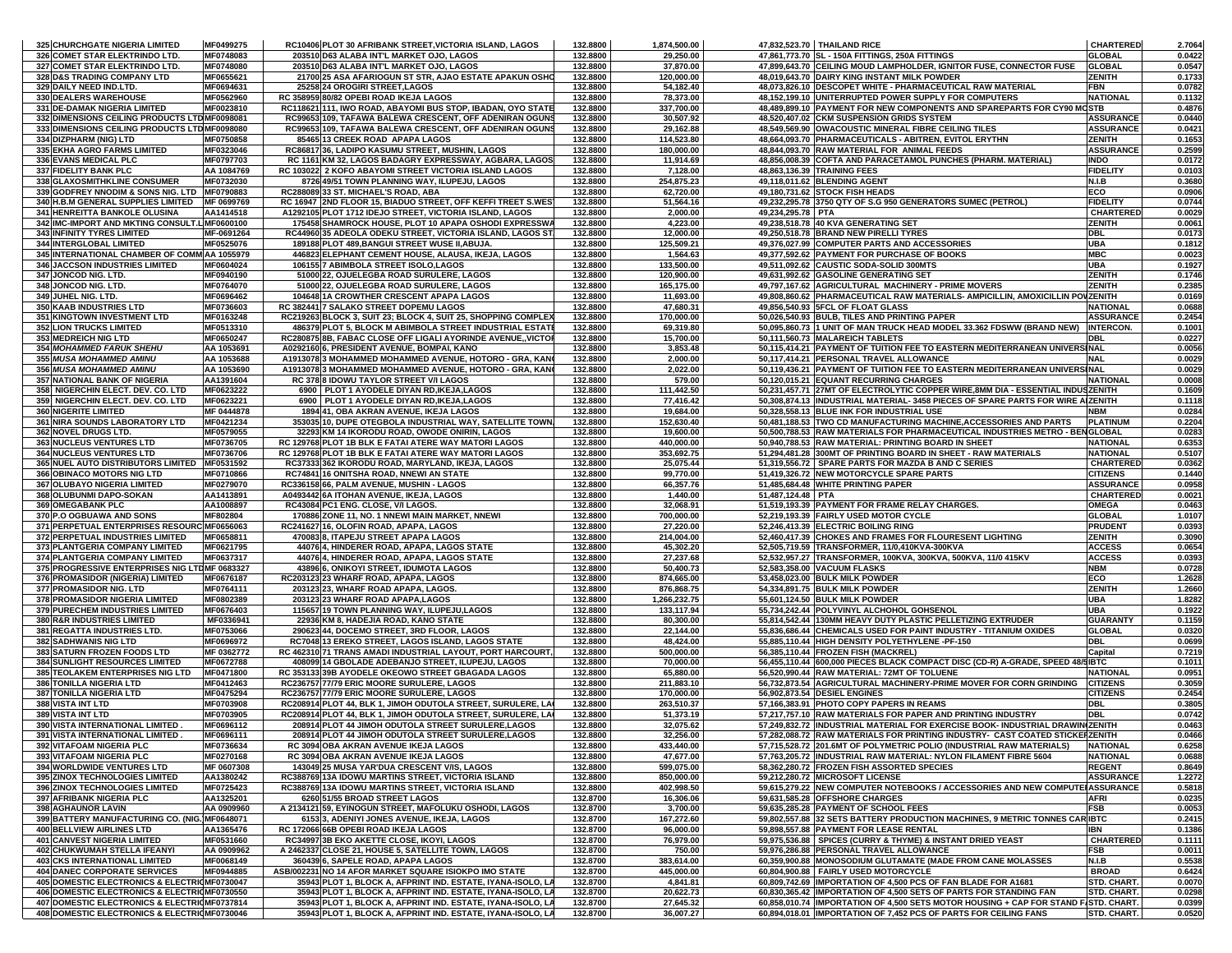| 325 CHURCHGATE NIGERIA LIMITED                                                               | MF0499275               | RC10406 PLOT 30 AFRIBANK STREET.VICTORIA ISLAND, LAGOS                                                                     | 132.8800             | 1,874,500.00               |                   | 47,832,523.70 THAILAND RICE                                                                                                                                        | <b>CHARTERED</b>                  | 2.7064           |
|----------------------------------------------------------------------------------------------|-------------------------|----------------------------------------------------------------------------------------------------------------------------|----------------------|----------------------------|-------------------|--------------------------------------------------------------------------------------------------------------------------------------------------------------------|-----------------------------------|------------------|
| 326 COMET STAR ELEKTRINDO LTD.                                                               | MF0748083               | 203510 D63 ALABA INT'L MARKET OJO, LAGOS                                                                                   | 132.8800             | 29,250.00                  |                   | 47,861,773.70 SL - 150A FITTINGS, 250A FITTINGS                                                                                                                    | <b>GLOBAL</b>                     | 0.0422           |
| 327 COMET STAR ELEKTRINDO LTD.                                                               | MF0748080               | 203510 D63 ALABA INT'L MARKET OJO. LAGOS                                                                                   | 132.8800             | 37,870.00                  |                   | 47,899,643.70 CEILING MOUD LAMPHOLDER, IGNITOR FUSE, CONNECTOR FUSE                                                                                                | <b>GLOBAL</b>                     | 0.0547           |
| 328 D&S TRADING COMPANY LTD<br>329 DAILY NEED IND.LTD.                                       | MF0655621<br>MF0694631  | 21700 25 ASA AFARIOGUN ST STR, AJAO ESTATE APAKUN OSHO<br>25258 24 OROGIRI STREET, LAGOS                                   | 132.8800<br>132.8800 | 120,000.00<br>54,182.40    |                   | 48,019,643.70 DAIRY KING INSTANT MILK POWDER<br>48,073,826.10 DESCOPET WHITE - PHARMACEUTICAL RAW MATERIAL                                                         | ZENITH<br>FBN                     | 0.1733<br>0.0782 |
| 330 DEALERS WAREHOUSE                                                                        | MF0562960               | RC 358959 80/82 OPEBI ROAD IKEJA LAGOS                                                                                     | 132.8800             | 78,373.00                  |                   | 48,152,199.10 UNITERRUPTED POWER SUPPLY FOR COMPUTERS                                                                                                              | NATIONAL                          | 0.1132           |
| 331 DE-DAMAK NIGERIA LIMITED                                                                 | MF0023810               | RC118621 111, IWO ROAD, ABAYOMI BUS STOP, IBADAN, OYO STATE                                                                | 132.8800             | 337,700.00                 |                   | 48,489,899.10 PAYMENT FOR NEW COMPONENTS AND SPAREPARTS FOR CY90 MOSTB                                                                                             |                                   | 0.4876           |
| 332 DIMENSIONS CEILING PRODUCTS LTD MF0098081                                                |                         | RC99653 109, TAFAWA BALEWA CRESCENT, OFF ADENIRAN OGUNS                                                                    | 132.8800             | 30,507.92                  |                   | 48,520,407.02 CKM SUSPENSION GRIDS SYSTEM                                                                                                                          | <b>ASSURANCE</b>                  | 0.0440           |
| 333 DIMENSIONS CEILING PRODUCTS LTD MF0098080                                                |                         | RC99653 109, TAFAWA BALEWA CRESCENT, OFF ADENIRAN OGUNS<br>85465 13 CREEK ROAD APAPA LAGOS                                 | 132.8800             | 29,162.88                  |                   | 48,549,569.90 OWACOUSTIC MINERAL FIBRE CEILING TILES                                                                                                               | <b>ASSURANCE</b><br><b>ZENITH</b> | 0.0421           |
| 334 DIZPHARM (NIG) LTD<br>335 EKHA AGRO FARMS LIMITED                                        | MF0750858<br>MF0323046  | RC86817 36, LADIPO KASUMU STREET, MUSHIN, LAGOS                                                                            | 132.8800<br>132.8800 | 114,523.80<br>180,000.00   |                   | 48,664,093.70 PHARMACEUTICALS - ABITREN, EVITOL ERYTHN<br>48,844,093.70 RAW MATERIAL FOR ANIMAL FEEDS                                                              | <b>ASSURANCE</b>                  | 0.1653<br>0.2599 |
| 336 EVANS MEDICAL PLC                                                                        | MF0797703               | RC 1161 KM 32, LAGOS BADAGRY EXPRESSWAY, AGBARA, LAGOS                                                                     | 132.8800             | 11,914.69                  |                   | 48,856,008.39 COFTA AND PARACETAMOL PUNCHES (PHARM. MATERIAL)                                                                                                      | INDO                              | 0.0172           |
| <b>337 FIDELITY BANK PLC</b>                                                                 | AA 1084769              | RC 103022 2 KOFO ABAYOMI STREET VICTORIA ISLAND LAGOS                                                                      | 132.8800             | 7,128.00                   |                   | 48,863,136.39 TRAINING FEES                                                                                                                                        | <b>FIDELITY</b>                   | 0.0103           |
| 338 GLAXOSMITHKLINE CONSUMER                                                                 | MF0732030               | 8726 49/51 TOWN PLANNING WAY, ILUPEJU, LAGOS                                                                               | 132.8800             | 254,875.23                 |                   | 49,118,011.62 BLENDING AGENT                                                                                                                                       | N.I.B                             | 0.3680           |
| 339 GODFREY NNODIM & SONS NIG. LTD MF0790883                                                 |                         | RC288089 33 ST. MICHAEL'S ROAD, ABA                                                                                        | 132.8800             | 62,720.00                  |                   | 49,180,731.62 STOCK FISH HEADS                                                                                                                                     | ECO                               | 0.0906           |
| 340 H.B.M GENERAL SUPPLIES LIMITED<br>341 HENREITTA BANKOLE OLUSINA                          | MF 0699769<br>AA1414518 | RC 16947 2ND FLOOR 15, BIADUO STREET, OFF KEFFI TREET S.WES<br>A1292105 PLOT 1712 IDEJO STREET, VICTORIA ISLAND, LAGOS     | 132.8800<br>132.8800 | 51,564.16<br>2,000.00      | 49,234,295.78 PTA | 49,232,295.78 3750 QTY OF S.G 950 GENERATORS SUMEC (PETROL)                                                                                                        | <b>FIDELITY</b><br>CHARTERED      | 0.0744<br>0.0029 |
| 342 IMC-IMPORT AND MKTING CONSULT.L MF0600100                                                |                         | 175458 SHAMROCK HOUSE, PLOT 10 APAPA OSHODI EXPRESSWA                                                                      | 132.8800             | 4,223.00                   |                   | 49,238,518.78 40 KVA GENERATING SET                                                                                                                                | ZENITH                            | 0.0061           |
| 343 INFINITY TYRES LIMITED                                                                   | MF-0691264              | RC44960 35 ADEOLA ODEKU STREET, VICTORIA ISLAND, LAGOS ST                                                                  | 132.8800             | 12,000.00                  |                   | 49,250,518.78 BRAND NEW PIRELLI TYRES                                                                                                                              | DBL                               | 0.0173           |
| <b>344 INTERGLOBAL LIMITED</b>                                                               | MF0525076               | 189188 PLOT 489, BANGUI STREET WUSE II, ABUJA.                                                                             | 132.8800             | 125,509.21                 |                   | 49,376,027.99 COMPUTER PARTS AND ACCESSORIES                                                                                                                       | UBA                               | 0.1812           |
| 345 INTERNATIONAL CHAMBER OF COMM AA 1055979<br><b>346 JACCSON INDUSTRIES LIMITED</b>        | MF0604024               | 446823 ELEPHANT CEMENT HOUSE, ALAUSA, IKEJA, LAGOS<br>106155 7 ABIMBOLA STREET ISOLO.LAGOS                                 | 132.8800<br>132.8800 | 1,564.63                   |                   | 49,377,592.62 PAYMENT FOR PURCHASE OF BOOKS<br>49,511,092.62 CAUSTIC SODA-SOLID 300MTS                                                                             | <b>MBC</b>                        | 0.0023           |
| 347 JONCOD NIG. LTD.                                                                         | MF0940190               | 51000 22, OJUELEGBA ROAD SURULERE, LAGOS                                                                                   | 132.8800             | 133,500.00<br>120,900.00   |                   | 49,631,992.62 GASOLINE GENERATING SET                                                                                                                              | UBA<br>ZENITH                     | 0.1927<br>0.1746 |
| 348 JONCOD NIG. LTD.                                                                         | MF0764070               | 51000 22, OJUELEGBA ROAD SURULERE, LAGOS                                                                                   | 132.8800             | 165,175.00                 |                   | 49,797,167.62 AGRICULTURAL MACHINERY - PRIME MOVERS                                                                                                                | ZENITH                            | 0.2385           |
| 349 JUHEL NIG. LTD.                                                                          | MF0696462               | 104648 1A CROWTHER CRESCENT APAPA LAGOS                                                                                    | 132.8800             | 11,693.00                  |                   | 49,808,860.62 PHARMACEUTICAL RAW MATERIALS- AMPICILLIN, AMOXICILLIN POVZENITH                                                                                      |                                   | 0.0169           |
| 350 KAAB INDUSTRIES LTD                                                                      | MF0736603               | RC 382441 7 SALAKO STREET DOPEMU LAGOS                                                                                     | 132.8800             | 47,680.31                  |                   | 49,856,540.93 5FCL OF FLOAT GLASS                                                                                                                                  | NATIONAL                          | 0.0688           |
| 351 KINGTOWN INVESTMENT LTD                                                                  | MF0163248               | RC219263 BLOCK 3, SUIT 23; BLOCK 4, SUIT 25, SHOPPING COMPLE)                                                              | 132.8800             | 170,000.00                 |                   | 50,026,540.93 BULB, TILES AND PRINTING PAPER                                                                                                                       | <b>ASSURANCE</b>                  | 0.2454           |
| 352 LION TRUCKS LIMITED<br>353 MEDREICH NIG LTD                                              | MF0513310<br>MF0650247  | 486379 PLOT 5, BLOCK M ABIMBOLA STREET INDUSTRIAL ESTAT<br>RC280875 8B, FABAC CLOSE OFF LIGALI AYORINDE AVENUE,, VICTOI    | 132.8800<br>132.8800 | 69,319.80<br>15,700.00     |                   | 50,095,860.73 1 UNIT OF MAN TRUCK HEAD MODEL 33.362 FDSWW (BRAND NEW)<br>50,111,560.73 MALAREICH TABLETS                                                           | <b>INTERCON.</b><br>DBL           | 0.1001<br>0.0227 |
| <b>354 MOHAMMED FARUK SHEHU</b>                                                              | AA 1053691              | A0292160 6, PRESIDENT AVENUE, BOMPAI, KANO                                                                                 | 132.8800             | 3,853.48                   |                   | 50,115,414.21 PAYMENT OF TUITION FEE TO EASTERN MEDITERRANEAN UNIVERSINAL                                                                                          |                                   | 0.0056           |
| 355 MUSA MOHAMMED AMINU                                                                      | AA 1053688              | A1913078 3 MOHAMMED MOHAMMED AVENUE, HOTORO - GRA, KAN                                                                     | 132.8800             | 2,000.00                   |                   | 50,117,414.21 PERSONAL TRAVEL ALLOWANCE                                                                                                                            | NAL                               | 0.0029           |
| 356 MUSA MOHAMMED AMINU                                                                      | AA 1053690              | A1913078 3 MOHAMMED MOHAMMED AVENUE, HOTORO - GRA, KAN                                                                     | 132.8800             | 2,022.00                   |                   | 50,119,436.21 PAYMENT OF TUITION FEE TO EASTERN MEDITERRANEAN UNIVERSINAL                                                                                          |                                   | 0.0029           |
| 357 NATIONAL BANK OF NIGERIA                                                                 | AA1391604<br>MF0623222  | RC 378 8 IDOWU TAYLOR STREET V/I LAGOS                                                                                     | 132.8800             | 579.00                     |                   | 50,120,015.21 EQUANT RECURRING CHARGES                                                                                                                             | NATIONAL                          | 0.0008           |
| 358 NIGERCHIN ELECT. DEV. CO. LTD<br>359 NIGERCHIN ELECT. DEV. CO. LTD                       | MF0623221               | 6900 PLOT 1 AYODELE DIYAN RD, IKEJA, LAGOS<br>6900 PLOT 1 AYODELE DIYAN RD, IKEJA, LAGOS                                   | 132.8800<br>132.8800 | 111,442.50<br>77,416.42    |                   | 50,231,457.71 27MT OF ELECTROLYTIC COPPER WIRE,8MM DIA - ESSENTIAL INDUSZENITH<br>50,308,874.13  INDUSTRIAL MATERIAL- 3458 PIECES OF SPARE PARTS FOR WIRE AIZENITH |                                   | 0.1609<br>0.1118 |
| 360 NIGERITE LIMITED                                                                         | MF 0444878              | 1894 41, OBA AKRAN AVENUE, IKEJA LAGOS                                                                                     | 132.8800             | 19,684.00                  |                   | 50.328.558.13 BLUE INK FOR INDUSTRIAL USE                                                                                                                          | NBM                               | 0.0284           |
| 361 NIRA SOUNDS LABORATORY LTD                                                               | MF0421234               | 353035 10, DUPE OTEGBOLA INDUSTRIAL WAY, SATELLITE TOWN                                                                    | 132.8800             | 152,630.40                 |                   | 50,481,188.53 TWO CD MANUFACTURING MACHINE, ACCESSORIES AND PARTS                                                                                                  | <b>PLATINUM</b>                   | 0.2204           |
| 362 NOVEL DRUGS LTD.                                                                         | MF0579055               | 32293 KM 14 IKORODU ROAD, OWODE ONIRIN, LAGOS                                                                              | 132.8800             | 19,600.00                  |                   | 50,500,788.53 RAW MATERIALS FOR PHARMACEUTICAL INDUSTRIES METRO - BENGLOBAL                                                                                        |                                   | 0.0283           |
| 363 NUCLEUS VENTURES LTD                                                                     | MF0736705               | RC 129768 PLOT 1B BLK E FATAI ATERE WAY MATORI LAGOS                                                                       | 132.8800             | 440,000.00                 |                   | 50,940,788.53 RAW MATERIAL: PRINTING BOARD IN SHEET                                                                                                                | NATIONAL                          | 0.6353           |
| 364 NUCLEUS VENTURES LTD<br>365 NUEL AUTO DISTRIBUTORS LIMITED MF0531592                     | MF0736706               | RC 129768 PLOT 1B BLK E FATAI ATERE WAY MATORI LAGOS<br>RC37333 362 IKORODU ROAD, MARYLAND, IKEJA, LAGOS                   | 132.8800<br>132.8800 | 353,692.75<br>25,075.44    |                   | 51,294,481.28 300MT OF PRINTING BOARD IN SHEET - RAW MATERIALS<br>51,319,556.72 SPARE PARTS FOR MAZDA B AND C SERIES                                               | NATIONAL<br>CHARTERED             | 0.5107<br>0.0362 |
|                                                                                              |                         |                                                                                                                            |                      |                            |                   |                                                                                                                                                                    |                                   |                  |
|                                                                                              | MF0710866               |                                                                                                                            |                      |                            |                   |                                                                                                                                                                    |                                   |                  |
| 366 OBINACO MOTORS NIG LTD<br>367 OLUBAYO NIGERIA LIMITED                                    | MF0279070               | RC74841 16 ONITSHA ROAD, NNEWI AN STATE<br>RC336158 66, PALM AVENUE, MUSHIN - LAGOS                                        | 132.8800<br>132.8800 | 99,770.00<br>66,357.76     |                   | 51,419,326.72 NEW MOTORCYCLE SPARE PARTS<br>51,485,684.48 WHITE PRINTING PAPER                                                                                     | CITIZENS<br><b>ASSURANCE</b>      | 0.1440<br>0.0958 |
| 368 OLUBUNMI DAPO-SOKAN                                                                      | AA1413891               | A0493442 6A ITOHAN AVENUE, IKEJA, LAGOS                                                                                    | 132.8800             | 1,440.00                   | 51,487,124.48 PTA |                                                                                                                                                                    | CHARTERED                         | 0.0021           |
| 369 OMEGABANK PLC                                                                            | AA1008897               | RC43084 PC1 ENG. CLOSE, V/I LAGOS.                                                                                         | 132.8800             | 32,068.91                  |                   | 51,519,193.39 PAYMENT FOR FRAME RELAY CHARGES.                                                                                                                     | <b>OMEGA</b>                      | 0.0463           |
| 370 P.O OGBUAWA AND SONS                                                                     | MF802804                | 170886 ZONE 11, NO. 1 NNEWI MAIN MARKET, NNEWI                                                                             | 132.8800             | 700,000.00                 |                   | 52,219,193.39 FAIRLY USED MOTOR CYCLE                                                                                                                              | <b>GLOBAL</b>                     | 1.0107           |
| 371 PERPETUAL ENTERPRISES RESOURC MF0656063<br>372 PERPETUAL INDUSTRIES LIMITED              | MF0658811               | RC241627 16, OLOFIN ROAD, APAPA, LAGOS<br>470083 8, ITAPEJU STREET APAPA LAGOS                                             | 132.8800<br>132.8800 | 27,220.00<br>214,004.00    |                   | 52,246,413.39 ELECTRIC BOILING RING<br>52,460,417.39 CHOKES AND FRAMES FOR FLOURESENT LIGHTING                                                                     | <b>PRUDENT</b><br>ZENITH          | 0.0393<br>0.3090 |
| 373 PLANTGERIA COMPANY LIMITED                                                               | MF0621795               | 44076 4, HINDERER ROAD, APAPA, LAGOS STATE                                                                                 | 132.8800             | 45,302.20                  |                   | 52,505,719.59 TRANSFORMER, 11/0,410KVA-300KVA                                                                                                                      | <b>ACCESS</b>                     | 0.0654           |
| 374 PLANTGERIA COMPANY LIMITED                                                               | MF0637317               | 44076 4, HINDERER ROAD, APAPA, LAGOS STATE                                                                                 | 132.8800             | 27,237.68                  |                   | 52,532,957.27 TRANSFORMER, 100KVA, 300KVA, 500KVA, 11/0 415KV                                                                                                      | <b>ACCESS</b>                     | 0.0393           |
| 375 PROGRESSIVE ENTERPRISES NIG LTDMF 0683327                                                |                         | 43896 6, ONIKOYI STREET, IDUMOTA LAGOS                                                                                     | 132.8800             | 50,400.73                  |                   | 52,583,358.00 VACUUM FLASKS                                                                                                                                        | NBM                               | 0.0728           |
| 376 PROMASIDOR (NIGERIA) LIMITED                                                             | MF0676187               | RC203123 23 WHARF ROAD, APAPA, LAGOS                                                                                       | 132.8800             | 874,665.00                 |                   | 53,458,023.00 BULK MILK POWDER                                                                                                                                     | ECO                               | 1.2628           |
| 377 PROMASIDOR NIG. LTD<br>378 PROMASIDOR NIGERIA LIMITED                                    | MF0764111<br>MF0802389  | 203123 23, WHARF ROAD APAPA, LAGOS.<br>203123 23 WHARF ROAD APAPA, LAGOS                                                   | 132.8800<br>132.8800 | 876,868.75<br>1,266,232.75 |                   | 54,334,891.75 BULK MILK POWDER<br>55,601,124.50 BULK MILK POWDER                                                                                                   | <b>ZENITH</b><br>UBA              | 1.2660<br>1.8282 |
| 379 PURECHEM INDUSTRIES LIMITED                                                              | MF0676403               | 115657 19 TOWN PLANNING WAY, ILUPEJU,LAGOS                                                                                 | 132.8800             | 133,117.94                 |                   | 55,734,242.44 POLYVINYL ALCHOHOL GOHSENOL                                                                                                                          | UBA                               | 0.1922           |
| 380 R&R INDUSTRIES LIMITED                                                                   | MF0336941               | 22936 KM 8, HADEJIA ROAD, KANO STATE                                                                                       | 132.8800             | 80,300.00                  |                   | 55,814,542.44 130MM HEAVY DUTY PLASTIC PELLETIZING EXTRUDER                                                                                                        | <b>GUARANTY</b>                   | 0.1159           |
| 381 REGATTA INDUSTRIES LTD.                                                                  | MF0753066               | 290623 44, DOCEMO STREET, 3RD FLOOR, LAGOS                                                                                 | 132.8800             | 22,144.00                  |                   | 55,836,686.44 CHEMICALS USED FOR PAINT INDUSTRY - TITANIUM OXIDES                                                                                                  | GLOBAL                            | 0.0320           |
| 382 SADHWANIS NIG LTD<br>383 SATURN FROZEN FOODS LTD                                         | MF0696972<br>MF 0362772 | RC7048 13 EREKO STREET, LAGOS ISLAND, LAGOS STATE<br>RC 462310 71 TRANS AMADI INDUSTRIAL LAYOUT, PORT HARCOURT             | 132.8800<br>132.8800 | 48,424.00<br>500,000.00    |                   | 55,885,110.44 HIGH DENSITY POLYETHYLENE -PF-150<br>56,385,110.44 FROZEN FISH (MACKREL)                                                                             | DBL<br>Capital                    | 0.0699<br>0.7219 |
| 384 SUNLIGHT RESOURCES LIMITED                                                               | MF0672788               | 408099 14 GBOLADE ADEBANJO STREET, ILUPEJU, LAGOS                                                                          | 132.8800             | 70,000.00                  |                   | 56,455,110.44 600,000 PIECES BLACK COMPACT DISC (CD-R) A-GRADE, SPEED 48/5 BTC                                                                                     |                                   | 0.1011           |
| 385 TEOLAKEM ENTERPRISES NIG LTD                                                             | MF0471800               | RC 353133 39B AYODELE OKEOWO STREET GBAGADA LAGOS                                                                          | 132.8800             | 65,880.00                  |                   | 56,520,990.44 RAW MATERIAL: 72MT OF TOLUENE                                                                                                                        | NATIONAL                          | 0.0951           |
| 386 TONILLA NIGERIA LTD                                                                      | MF0412463               | RC236757 77/79 ERIC MOORE SURULERE, LAGOS                                                                                  | 132.8800             | 211,883.10                 |                   | 56,732,873.54 AGRICULTURAL MACHINERY-PRIME MOVER FOR CORN GRINDING                                                                                                 | <b>CITIZENS</b>                   | 0.3059           |
| <b>387 TONILLA NIGERIA LTD</b>                                                               | MF0475294               | RC236757 77/79 ERIC MOORE SURULERE, LAGOS                                                                                  | 132.8800             | 170,000.00                 |                   | 56,902,873.54 DESIEL ENGINES                                                                                                                                       | CITIZENS<br>DBL                   | 0.2454           |
| 388 VISTA INT LTD<br>389 VISTA INT LTD                                                       | MF0703908<br>MF0703905  | RC208914 PLOT 44, BLK 1, JIMOH ODUTOLA STREET, SURULERE, LA<br>RC208914 PLOT 44, BLK 1, JIMOH ODUTOLA STREET, SURULERE, LA | 132.8800<br>132.8800 | 263,510.37<br>51,373.19    |                   | 57,166,383.91 PHOTO COPY PAPERS IN REAMS<br>57,217,757.10 RAW MATERIALS FOR PAPER AND PRINTING INDUSTRY                                                            | <b>DBL</b>                        | 0.3805<br>0.0742 |
| 390 VISTA INTERNATIONAL LIMITED.                                                             | MF0696112               | 208914 PLOT 44 JIMOH ODUTOLA STREET SURULERE, LAGOS                                                                        | 132.8800             | 32,075.62                  |                   | 57,249,832.72 INDUSTRIAL MATERIAL FOR EXERCISE BOOK- INDUSTRIAL DRAWIN(ZENITH                                                                                      |                                   | 0.0463           |
| 391 VISTA INTERNATIONAL LIMITED.                                                             | MF0696111               | 208914 PLOT 44 JIMOH ODUTOLA STREET SURULERE.LAGOS                                                                         | 132.8800             | 32,256.00                  |                   | 57,282,088.72 RAW MATERIALS FOR PRINTING INDUSTRY- CAST COATED STICKERZENITH                                                                                       |                                   | 0.0466           |
| 392 VITAFOAM NIGERIA PLC                                                                     | MF0736634               | RC 3094 OBA AKRAN AVENUE IKEJA LAGOS                                                                                       | 132.8800             | 433,440.00                 |                   | 57,715,528.72 201.6MT OF POLYMETRIC POLIO (INDUSTRIAL RAW MATERIALS)                                                                                               | <b>NATIONAL</b>                   | 0.6258           |
| 393 VITAFOAM NIGERIA PLC<br>394 WORLDWIDE VENTURES LTD                                       | MF0270168<br>MF 0607308 | RC 3094 OBA AKRAN AVENUE IKEJA LAGOS<br>143049 25 MUSA YAR'DUA CRESCENT V/IS, LAGOS                                        | 132.8800<br>132.8800 | 47,677.00<br>599,075.00    |                   | 57,763,205.72 INDUSTRIAL RAW MATERIAL: NYLON FILAMENT FIBRE 5604<br>58,362,280.72 FROZEN FISH ASSORTED SPECIES                                                     | <b>NATIONAL</b><br><b>REGENT</b>  | 0.0688<br>0.8649 |
| 395 ZINOX TECHNOLOGIES LIMITED                                                               | AA1380242               | RC388769 13A IDOWU MARTINS STREET, VICTORIA ISLAND                                                                         | 132.8800             | 850,000.00                 |                   | 59,212,280.72 MICROSOFT LICENSE                                                                                                                                    | <b>ASSURANCE</b>                  | 1.2272           |
| 396 ZINOX TECHNOLOGIES LIMITED                                                               | MF0725423               | RC388769 13A IDOWU MARTINS STREET, VICTORIA ISLAND                                                                         | 132.8800             | 402,998.50                 |                   | 59.615.279.22 NEW COMPUTER NOTEBOOKS / ACCESSORIES AND NEW COMPUTE ASSURANCE                                                                                       |                                   | 0.5818           |
| 397 AFRIBANK NIGERIA PLC                                                                     | AA1325201               | 6260 51/55 BROAD STREET LAGOS                                                                                              | 132.8700             | 16,306.06                  |                   | 59,631,585.28 OFFSHORE CHARGES                                                                                                                                     | <b>AFRI</b>                       | 0.0235           |
| <b>398 AGHAUNOR LAVIN</b>                                                                    | AA 0909960              | A 2134121 59, EYINOGUN STREET, MAFOLUKU OSHODI, LAGOS                                                                      | 132.8700             | 3,700.00                   |                   | 59,635,285.28 PAYMENT OF SCHOOL FEES                                                                                                                               | <b>FSB</b>                        | 0.0053           |
| 399 BATTERY MANUFACTURING CO. (NIG. MF0648071<br><b>400 BELLVIEW AIRLINES LTD</b>            | AA1365476               | 6153 3, ADENIYI JONES AVENUE, IKEJA, LAGOS<br>RC 172066 66B OPEBI ROAD IKEJA LAGOS                                         | 132.8700<br>132.8700 | 167,272.60<br>96,000.00    |                   | 59,802,557.88 32 SETS BATTERY PRODUCTION MACHINES, 9 METRIC TONNES CAR IBTC<br>59,898,557.88 PAYMENT FOR LEASE RENTAL                                              | <b>IBN</b>                        | 0.2415<br>0.1386 |
| <b>401 CANVEST NIGERIA LIMITED</b>                                                           | MF0531660               | RC34997 3B EKO AKETTE CLOSE, IKOYI, LAGOS                                                                                  | 132.8700             | 76,979.00                  |                   | 59,975,536.88 SPICES (CURRY & THYME) & INSTANT DRIED YEAST                                                                                                         | <b>CHARTERED</b>                  | 0.1111           |
| <b>402 CHUKWUMAH STELLA IFEANYI</b>                                                          | AA 0909962              | A 2462337 CLOSE 21, HOUSE 5, SATELLITE TOWN, LAGOS                                                                         | 132.8700             | 750.00                     |                   | 59,976,286.88 PERSONAL TRAVEL ALLOWANCE                                                                                                                            | FSB                               | 0.0011           |
| <b>403 CKS INTERNATIONAL LIMITED</b>                                                         | MF0068149               | 360439 6, SAPELE ROAD, APAPA LAGOS                                                                                         | 132.8700             | 383,614.00                 |                   | 60,359,900.88 MONOSODIUM GLUTAMATE (MADE FROM CANE MOLASSES                                                                                                        | N.I.B                             | 0.5538           |
| <b>404 DANEC CORPORATE SERVICES</b><br>405 DOMESTIC ELECTRONICS & ELECTRICMF0730047          | MF0944885               | ASB/002231 NO 14 AFOR MARKET SQUARE ISIOKPO IMO STATE<br>35943 PLOT 1, BLOCK A, AFPRINT IND. ESTATE, IYANA-ISOLO, LA       | 132.8700<br>132.8700 | 445,000.00<br>4,841.81     |                   | 60.804.900.88 FAIRLY USED MOTORCYCLE<br>60,809,742.69 IMPORTATION OF 4,500 PCS OF FAN BLADE FOR A1681                                                              | <b>BROAD</b><br>STD. CHART.       | 0.6424<br>0.0070 |
| 406 DOMESTIC ELECTRONICS & ELECTRICMF0730550                                                 |                         | 35943 PLOT 1, BLOCK A, AFPRINT IND. ESTATE, IYANA-ISOLO, LA                                                                | 132.8700             | 20,622.73                  |                   | 60,830,365.42 IMPORTATION OF 4,500 SETS OF PARTS FOR STANDING FAN                                                                                                  | STD. CHART.                       | 0.0298           |
| 407 DOMESTIC ELECTRONICS & ELECTRIOMF0737814<br>408 DOMESTIC ELECTRONICS & ELECTRIOMF0730046 |                         | 35943 PLOT 1, BLOCK A, AFPRINT IND. ESTATE, IYANA-ISOLO, LA<br>35943 PLOT 1, BLOCK A, AFPRINT IND. ESTATE, IYANA-ISOLO, LA | 132.8700<br>132.8700 | 27,645.32<br>36,007.27     |                   | 60,858,010.74 IMPORTATION OF 4,500 SETS MOTOR HOUSING + CAP FOR STAND FISTD. CHART<br>60,894,018.01 IMPORTATION OF 7,452 PCS OF PARTS FOR CEILING FANS             | STD. CHART.                       | 0.0399<br>0.0520 |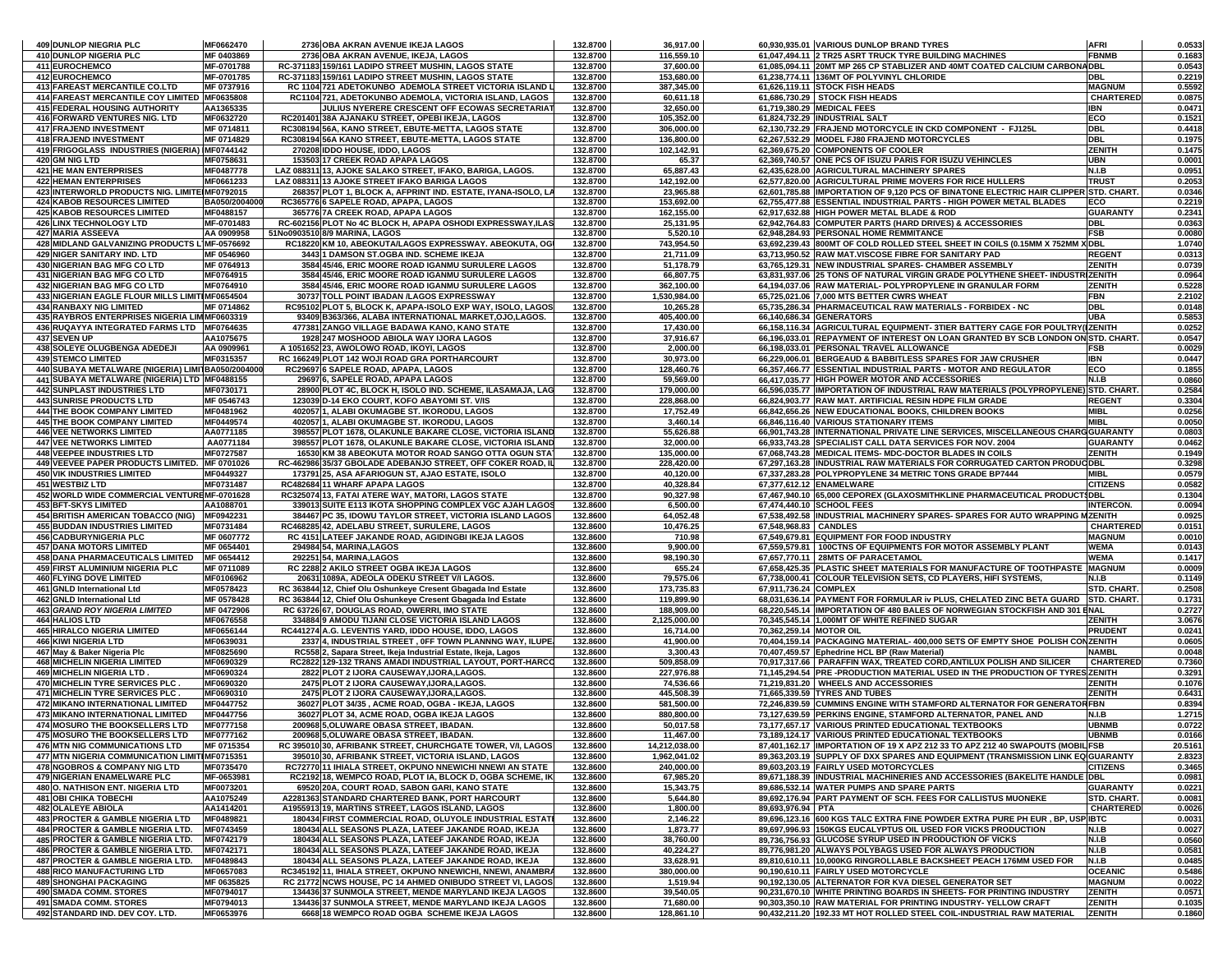| 409 DUNLOP NIEGRIA PLC                                                                           | MF0662470                | 2736 OBA AKRAN AVENUE IKEJA LAGOS                                                                                         | 132.8700             | 36,917.00                  |                         | 60,930,935.01 VARIOUS DUNLOP BRAND TYRES                                                                                                    | <b>AFRI</b>                       | 0.0533            |
|--------------------------------------------------------------------------------------------------|--------------------------|---------------------------------------------------------------------------------------------------------------------------|----------------------|----------------------------|-------------------------|---------------------------------------------------------------------------------------------------------------------------------------------|-----------------------------------|-------------------|
| 410 DUNLOP NIGERIA PLC                                                                           | MF 0403869               | 2736 OBA AKRAN AVENUE, IKEJA, LAGOS                                                                                       | 132.8700             | 116,559.10                 |                         | 61,047,494.11 2 TR25 ASRT TRUCK TYRE BUILDING MACHINES                                                                                      | <b>FBNMB</b>                      | 0.1683            |
| 411 EUROCHEMCO                                                                                   | MF-0701788               | RC-371183 159/161 LADIPO STREET MUSHIN, LAGOS STATE                                                                       | 132.8700             | 37,600.00                  |                         | 61,085,094.11 20MT MP 265 CP STABLIZER AND 40MT COATED CALCIUM CARBONADBL                                                                   |                                   | 0.0543            |
| 412 EUROCHEMCO                                                                                   | MF-0701785               | RC-371183 159/161 LADIPO STREET MUSHIN, LAGOS STATE<br>RC 1104 721 ADETOKUNBO ADEMOLA STREET VICTORIA ISLAND L            | 132.8700             | 153,680.00                 |                         | 61,238,774.11 136MT OF POLYVINYL CHLORIDE                                                                                                   | DBL                               | 0.2219            |
| 413 FAREAST MERCANTILE CO.LTD<br>414 FAREAST MERCANTILE COY LIMITED MF0635808                    | MF 0737916               | RC1104 721, ADETOKUNBO ADEMOLA, VICTORIA ISLAND, LAGOS                                                                    | 132.8700<br>132.8700 | 387,345.00<br>60,611.18    |                         | 61,626,119.11 STOCK FISH HEADS<br>61,686,730.29 STOCK FISH HEADS                                                                            | <b>MAGNUM</b><br><b>CHARTERED</b> | 0.5592<br>0.0875  |
| 415 FEDERAL HOUSING AUTHORITY                                                                    | AA1365335                | JULIUS NYERERE CRESCENT OFF ECOWAS SECRETARIAT                                                                            | 132.8700             | 32,650.00                  |                         | 61,719,380.29 MEDICAL FEES                                                                                                                  | IBN                               | 0.0471            |
| 416 FORWARD VENTURES NIG. LTD                                                                    | MF0632720                | RC201401 38A AJANAKU STREET. OPEBI IKEJA. LAGOS                                                                           | 132.8700             | 105,352.00                 |                         | 61,824,732.29 INDUSTRIAL SALT                                                                                                               | ECO                               | 0.1521            |
| 417 FRAJEND INVESTMENT                                                                           | MF 0714811               | RC308194 56A, KANO STREET, EBUTE-METTA, LAGOS STATE                                                                       | 132.8700             | 306,000.00                 |                         | 62,130,732.29 FRAJEND MOTORCYCLE IN CKD COMPONENT - FJ125L                                                                                  | <b>DBL</b>                        | 0.4418            |
| <b>418 FRAJEND INVESTMENT</b>                                                                    | MF 0714829               | RC308194 56A KANO STREET, EBUTE-METTA, LAGOS STATE                                                                        | 132.8700             | 136,800.00                 |                         | 62,267,532.29 MODEL FJ80 FRAJEND MOTORCYCLES                                                                                                | <b>DBL</b>                        | 0.1975            |
| 419 FRIGOGLASS INDUSTRIES (NIGERIA) IMF0744142                                                   |                          | 270208 IDDO HOUSE, IDDO, LAGOS                                                                                            | 132.8700             | 102,142.91                 |                         | 62,369,675.20 COMPONENTS OF COOLER                                                                                                          | ZENITH                            | 0.1475            |
| 420 GM NIG LTD                                                                                   | MF0758631                | 153503 17 CREEK ROAD APAPA LAGOS                                                                                          | 132.8700             | 65.37                      |                         | 62,369,740.57 ONE PCS OF ISUZU PARIS FOR ISUZU VEHINCLES                                                                                    | <b>UBN</b>                        | 0.0001            |
| 421 HE MAN ENTERPRISES                                                                           | MF0487778                | LAZ 088311 13, AJOKE SALAKO STREET, IFAKO, BARIGA, LAGOS.                                                                 | 132.8700             | 65,887.43                  |                         | 62,435,628.00 AGRICULTURAL MACHINERY SPARES                                                                                                 | N.I.B                             | 0.0951            |
| <b>422 HEMAN ENTERPRISES</b><br>423 INTERWORLD PRODUCTS NIG. LIMITE MF0792015                    | MF0661233                | LAZ 088311 13 AJOKE STREET IFAKO BARIGA LAGOS<br>268357 PLOT 1, BLOCK A, AFPRINT IND. ESTATE, IYANA-ISOLO, LA             | 132.8700<br>132.8700 | 142,192.00<br>23,965.88    |                         | 62,577,820.00 AGRICULTURAL PRIME MOVERS FOR RICE HULLERS<br>62,601,785.88 IMPORTATION OF 9,120 PCS OF BINATONE ELECTRIC HAIR CLIPPER        | <b>TRUS1</b><br>STD. CHART.       | 0.2053<br>0.0346  |
| <b>424 KABOB RESOURCES LIMITED</b>                                                               | BA050/2004000            | RC365776 6 SAPELE ROAD, APAPA, LAGOS                                                                                      | 132.8700             | 153,692.00                 |                         | 62,755,477.88 ESSENTIAL INDUSTRIAL PARTS - HIGH POWER METAL BLADES                                                                          | ECO                               | 0.2219            |
| <b>425 KABOB RESOURCES LIMITED</b>                                                               | MF0488157                | 365776 7A CREEK ROAD, APAPA LAGOS                                                                                         | 132.8700             | 162,155.00                 |                         | 62,917,632.88 HIGH POWER METAL BLADE & ROD                                                                                                  | <b>GUARANTY</b>                   | 0.2341            |
| <b>426 LINX TECHNOLOGY LTD</b>                                                                   | MF-0701483               | RC-602156 PLOT No 4C BLOCK H. APAPA OSHODI EXPRESSWAY ILAS                                                                | 132.8700             | 25,131.95                  |                         | 62,942,764.83 COMPUTER PARTS (HARD DRIVES) & ACCESSORIES                                                                                    | <b>DBL</b>                        | 0.0363            |
| 427 MARIA ASSEEVA                                                                                | AA 0909958               | 51No0903510 8/9 MARINA, LAGOS                                                                                             | 132.8700             | 5,520.10                   |                         | 62,948,284.93 PERSONAL HOME REMMITANCE                                                                                                      | <b>FSB</b>                        | 0.0080            |
| 428 MIDLAND GALVANIZING PRODUCTS L MF-0576692                                                    |                          | RC18220 KM 10, ABEOKUTA/LAGOS EXPRESSWAY. ABEOKUTA, OG                                                                    | 132.8700             | 743,954.50                 |                         | 63,692,239.43 800MT OF COLD ROLLED STEEL SHEET IN COILS (0.15MM X 752MM X DBL                                                               |                                   | 1.0740            |
| 429 NIGER SANITARY IND. LTD                                                                      | MF 0546960               | 3443 1 DAMSON ST.OGBA IND. SCHEME IKEJA                                                                                   | 132.8700             | 21,711.09                  |                         | 63,713,950.52 RAW MAT.VISCOSE FIBRE FOR SANITARY PAD                                                                                        | <b>REGENT</b>                     | 0.0313            |
| 430 NIGERIAN BAG MFG CO LTD                                                                      | MF 0764913               | 3584 45/46, ERIC MOORE ROAD IGANMU SURULERE LAGOS                                                                         | 132.8700             | 51,178.79                  |                         | 63,765,129.31 NEW INDUSTRIAL SPARES- CHAMBER ASSEMBLY                                                                                       | ZENITH                            | 0.0739            |
| 431 NIGERIAN BAG MFG CO LTD<br>432 NIGERIAN BAG MFG CO LTD                                       | MF0764915<br>MF0764910   | 3584 45/46, ERIC MOORE ROAD IGANMU SURULERE LAGOS<br>3584 45/46, ERIC MOORE ROAD IGANMU SURULERE LAGOS                    | 132.8700<br>132.8700 | 66,807.75<br>362,100.00    |                         | 63,831,937.06 25 TONS OF NATURAL VIRGIN GRADE POLYTHENE SHEET- INDUSTRIZENITH<br>64,194,037.06 RAW MATERIAL- POLYPROPYLENE IN GRANULAR FORM | ZENITH                            | 0.0964<br>0.5228  |
| 433 NIGERIAN EAGLE FLOUR MILLS LIMITIMF0654504                                                   |                          | 30737 TOLL POINT IBADAN /LAGOS EXPRESSWAY                                                                                 | 132.8700             | 1,530,984.00               |                         | 65,725,021.06 7,000 MTS BETTER CWRS WHEAT                                                                                                   | <b>FBN</b>                        | 2.2102            |
| 434 RANBAXY NIG LIMITED                                                                          | MF 0714862               | RC95102 PLOT 5, BLOCK K, APAPA-ISOLO EXP WAY, ISOLO, LAGOS                                                                | 132.8700             | 10,265.28                  |                         | 65,735,286.34 PHARMACEUTICAL RAW MATERIALS - FORBIDEX - NC                                                                                  | DBL                               | 0.0148            |
| 435 RAYBROS ENTERPRISES NIGERIA LIM MF0603319                                                    |                          | 93409 B363/366, ALABA INTERNATIONAL MARKET, OJO, LAGOS.                                                                   | 132.8700             | 405,400.00                 |                         | 66,140,686.34 GENERATORS                                                                                                                    | <b>UBA</b>                        | 0.5853            |
| 436 RUQAYYA INTEGRATED FARMS LTD MF0764635                                                       |                          | 477381 ZANGO VILLAGE BADAWA KANO, KANO STATE                                                                              | 132.8700             | 17,430.00                  |                         | 66,158,116.34 AGRICULTURAL EQUIPMENT- 3TIER BATTERY CAGE FOR POULTRY(IZENITH                                                                |                                   | 0.0252            |
| 437 SEVEN UP                                                                                     | AA1075675                | 1928 247 MOSHOOD ABIOLA WAY IJORA LAGOS                                                                                   | 132.8700             | 37,916.67                  |                         | 66,196,033.01 REPAYMENT OF INTEREST ON LOAN GRANTED BY SCB LONDON ON STD. CHART.                                                            |                                   | 0.0547            |
| 438 SOLEYE OLUGBENGA ADEDEJI                                                                     | AA 090996                | A 1051652 23. AWOLOWO ROAD. IKOYI, LAGOS                                                                                  | 132.8700             | 2,000.00                   |                         | 66.198.033.01 PERSONAL TRAVEL ALLOWANCE                                                                                                     | FSB                               | 0.0029            |
| <b>439 STEMCO LIMITED</b>                                                                        | MF0315357                | RC 166249 PLOT 142 WOJI ROAD GRA PORTHARCOURT                                                                             | 132.8700             | 30,973.00                  |                         | 66,229,006.01 BERGEAUD & BABBITLESS SPARES FOR JAW CRUSHER<br>66,357,466.77 ESSENTIAL INDUSTRIAL PARTS - MOTOR AND REGULATOR                | IBN                               | 0.0447            |
| 440 SUBAYA METALWARE (NIGERIA) LIMITBA050/200400<br>441 SUBAYA METALWARE (NIGERIA) LTD MF0488155 |                          | RC29697 6 SAPELE ROAD, APAPA, LAGOS<br>29697 6, SAPELE ROAD, APAPA LAGOS                                                  | 132.8700<br>132.8700 | 128,460.76<br>59,569.00    |                         | 66,417,035.77 HIGH POWER MOTOR AND ACCESSORIES                                                                                              | ECO<br><b>N.I.B</b>               | 0.1855<br>0.0860  |
| 442 SUNPLAST INDUSTRIES LTD                                                                      | MF0730171                | 28900 PLOT 4C, BLOCK H, ISOLO IND. SCHEME, ILASAMAJA, LAG                                                                 | 132.8700             | 179,000.00                 |                         | 66,596,035.77  IMPORTATION OF INDUSTRIAL RAW MATERIALS (POLYPROPYLENE) STD. CHART.                                                          |                                   | 0.2584            |
| <b>443 SUNRISE PRODUCTS LTD</b>                                                                  | MF 0546743               | 123039 D-14 EKO COURT, KOFO ABAYOMI ST. V/IS                                                                              | 132.8700             | 228,868.00                 |                         | 66.824.903.77 RAW MAT. ARTIFICIAL RESIN HDPE FILM GRADE                                                                                     | <b>REGENT</b>                     | 0.3304            |
| <b>444 THE BOOK COMPANY LIMITED</b>                                                              | MF0481962                | 402057 1, ALABI OKUMAGBE ST. IKORODU, LAGOS                                                                               | 132.8700             | 17,752.49                  |                         | 66,842,656.26 NEW EDUCATIONAL BOOKS, CHILDREN BOOKS                                                                                         | MIBL                              | 0.0256            |
| <b>445 THE BOOK COMPANY LIMITED</b>                                                              | MF0449574                | 402057 1. ALABI OKUMAGBE ST. IKORODU. LAGOS                                                                               | 132.8700             | 3,460.14                   |                         | 66,846,116.40 VARIOUS STATIONARY ITEMS                                                                                                      | <b>MIBL</b>                       | 0.0050            |
| <b>446 VEE NETWORKS LIMITED</b>                                                                  | AA0771185                | 398557 PLOT 1678, OLAKUNLE BAKARE CLOSE, VICTORIA ISLAND                                                                  | 132.8700             | 55,626.88                  |                         | 66,901,743.28 INTERNATIONAL PRIVATE LINE SERVICES, MISCELLANEOUS CHARGGUARANTY                                                              |                                   | 0.0803            |
| <b>447 VEE NETWORKS LIMITED</b>                                                                  | AA0771184                | 398557 PLOT 1678, OLAKUNLE BAKARE CLOSE, VICTORIA ISLAND                                                                  | 132.8700             | 32,000.00                  |                         | 66.933.743.28 SPECIALIST CALL DATA SERVICES FOR NOV. 2004                                                                                   | <b>GUARANTY</b>                   | 0.0462            |
| 448 VEEPEE INDUSTRIES LTD                                                                        | MF0727587                | 16530 KM 38 ABEOKUTA MOTOR ROAD SANGO OTTA OGUN STA                                                                       | 132.8700             | 135,000.00                 |                         | 67,068,743.28 MEDICAL ITEMS- MDC-DOCTOR BLADES IN COILS                                                                                     | ZENITH                            | 0.1949            |
| 449 VEEVEE PAPER PRODUCTS LIMITED. MF 0701026                                                    |                          | RC-462986 35/37 GBOLADE ADEBANJO STREET, OFF COKER ROAD, II                                                               | 132.8700             | 228,420.00                 |                         | 67,297,163.28 INDUSTRIAL RAW MATERIALS FOR CORRUGATED CARTON PRODUC DBL<br>67,337,283.28 POLYPROPYLENE 34 METRIC TONS GRADE BP7444          |                                   | 0.3298            |
| <b>450 VIK INDUSTRIES LIMITED</b><br><b>451 WESTBIZ LTD</b>                                      | MF0449327<br>MF0731487   | 173791 25, ASA AFARIOGUN ST, AJAO ESTATE, ISOLO<br>RC482684 11 WHARF APAPA LAGOS                                          | 132.8700<br>132.8700 | 40,120.00<br>40,328.84     |                         | 67,377,612.12 ENAMELWARE                                                                                                                    | MIBL<br><b>CITIZENS</b>           | 0.0579<br>0.0582  |
| 452 WORLD WIDE COMMERCIAL VENTUREMF-0701628                                                      |                          | RC325074 13, FATAI ATERE WAY, MATORI, LAGOS STATE                                                                         | 132.8700             | 90,327.98                  |                         | 67,467,940.10 65,000 CEPOREX (GLAXOSMITHKLINE PHARMACEUTICAL PRODUCT\$DBL                                                                   |                                   | 0.1304            |
| <b>453 BFT-SKYS LIMITED</b>                                                                      | AA1088701                | 339013 SUITE E113 IKOTA SHOPPING COMPLEX VGC AJAH LAGOS                                                                   | 132.8600             | 6,500.00                   |                         | 67,474,440.10 SCHOOL FEES                                                                                                                   | <b>INTERCON.</b>                  | 0.0094            |
| <b>454 BRITISH AMERICAN TOBACCO (NIG)</b>                                                        | MF0942231                | 384467 PC 35, IDOWU TAYLOR STREET, VICTORIA ISLAND LAGOS                                                                  | 132.8600             | 64,052.48                  |                         | 67,538,492.58 INDUSTRIAL MACHINERY SPARES- SPARES FOR AUTO WRAPPING MZENITH                                                                 |                                   | 0.0925            |
| <b>455 BUDDAN INDUSTRIES LIMITED</b>                                                             | MF0731484                | RC468285 42, ADELABU STREET, SURULERE, LAGOS                                                                              | 132.8600             | 10,476.25                  | 67,548,968.83 CANDLES   |                                                                                                                                             | <b>CHARTERED</b>                  | 0.0151            |
| <b>456 CADBURYNIGERIA PLC</b>                                                                    | MF 0607772               | RC 4151 LATEEF JAKANDE ROAD, AGIDINGBI IKEJA LAGOS                                                                        | 132.8600             | 710.98                     |                         | 67,549,679.81 EQUIPMENT FOR FOOD INDUSTRY                                                                                                   | <b>MAGNUM</b>                     | 0.0010            |
| <b>457 DANA MOTORS LIMITED</b>                                                                   | MF 0654401               | 294984 54, MARINA, LAGOS                                                                                                  | 132.8600             | 9,900.00                   |                         | 67,559,579.81   100CTNS OF EQUIPMENTS FOR MOTOR ASSEMBLY PLANT                                                                              | <b>WEMA</b>                       | 0.0143            |
| <b>458 DANA PHARMACEUTICALS LIMITED</b><br>459 FIRST ALUMINIUM NIGERIA PLC                       | MF 0654412<br>MF 0711089 | 292251 54, MARINA, LAGOS<br>RC 2288 2 AKILO STREET OGBA IKEJA LAGOS                                                       | 132.8600<br>132.8600 | 98,190.30<br>655.24        |                         | 67,657,770.11 28MTS OF PARACETAMOL<br>67,658,425.35 PLASTIC SHEET MATERIALS FOR MANUFACTURE OF TOOTHPASTE MAGNUM                            | <b>WEMA</b>                       | 0.1417<br>0.0009  |
| 460 FLYING DOVE LIMITED                                                                          | MF0106962                | 20631 1089A, ADEOLA ODEKU STREET V/I LAGOS.                                                                               | 132.8600             | 79,575.06                  |                         | 67,738,000.41 COLOUR TELEVISION SETS, CD PLAYERS, HIFI SYSTEMS,                                                                             | N.I.B                             | 0.1149            |
| 461 GNLD International Ltd                                                                       | MF0578423                | RC 363844 12, Chief Olu Oshunkeye Cresent Gbagada Ind Estate                                                              | 132.8600             | 173,735.83                 | 67,911,736.24 COMPLEX   |                                                                                                                                             | <b>STD. CHART</b>                 | 0.2508            |
| 462 GNLD International Ltd                                                                       | MF 0578428               | RC 363844 12, Chief Olu Oshunkeye Cresent Gbagada Ind Estate                                                              | 132.8600             | 119,899.90                 |                         | 68,031,636.14 PAYMENT FOR FORMULAR Iv PLUS, CHELATED ZINC BETA GUARD STD. CHART.                                                            |                                   | 0.1731            |
| <b>463 GRAND ROY NIGERIA LIMITED</b>                                                             | MF 0472906               | RC 63726 67, DOUGLAS ROAD, OWERRI, IMO STATE                                                                              | 132.8600             | 188,909.00                 |                         | 68,220,545.14 IMPORTATION OF 480 BALES OF NORWEGIAN STOCKFISH AND 301 ENAL                                                                  |                                   | 0.2727            |
| <b>464 HALIOS LTD</b>                                                                            | MF0676558                | 334884 9 AMODU TIJANI CLOSE VICTORIA ISLAND LAGOS                                                                         | 132.8600             | 2,125,000.00               |                         | 70,345,545.14 1,000MT OF WHITE REFINED SUGAR                                                                                                | ZENITH                            | 3.0676            |
| <b>465 HIRALCO NIGERIA LIMITED</b>                                                               | MF0656144                | RC441274 A.G. LEVENTIS YARD, IDDO HOUSE, IDDO, LAGOS                                                                      | 132.8600             | 16,714.00                  | 70,362,259.14 MOTOR OIL |                                                                                                                                             | <b>PRUDENT</b>                    | 0.0241            |
| <b>466 KIWI NIGERIA LTD</b>                                                                      | MF0639031                | 2337 4. INDUSTRIAL STREET . OFF TOWN PLANNNG WAY. ILUPE                                                                   | 132.8600             | 41,900.00                  |                         | 70,404,159.14 PACKAGING MATERIAL- 400,000 SETS OF EMPTY SHOE POLISH CONZENITH                                                               |                                   | 0.0605<br>0.0048  |
| 467 May & Baker Nigeria Plc<br><b>468 MICHELIN NIGERIA LIMITED</b>                               | MF0825690<br>MF0690329   | RC558 2, Sapara Street, Ikeja Industrial Estate, Ikeja, Lagos<br>RC2822 129-132 TRANS AMADI INDUSTRIAL LAYOUT, PORT-HARCO | 132.8600<br>132.8600 | 3,300.43<br>509,858.09     |                         | 70,407,459.57 Ephedrine HCL BP (Raw Material)<br>70,917,317.66 PARAFFIN WAX, TREATED CORD, ANTILUX POLISH AND SILICER                       | NAMBL<br><b>CHARTERED</b>         | 0.7360            |
| 469 MICHELIN NIGERIA LTD.                                                                        | MF0690324                | 2822 PLOT 2 IJORA CAUSEWAY, IJORA, LAGOS.                                                                                 | 132.8600             | 227,976.88                 |                         | 71,145,294.54 PRE-PRODUCTION MATERIAL USED IN THE PRODUCTION OF TYRES ZENITH                                                                |                                   | 0.3291            |
| 470 MICHELIN TYRE SERVICES PLC.                                                                  | MF0690320                | 2475 PLOT 2 IJORA CAUSEWAY IJORA LAGOS.                                                                                   | 132.8600             | 74,536.66                  |                         | 71,219,831.20 WHEELS AND ACCESSORIES                                                                                                        | ZENITH                            | 0.1076            |
| 471 MICHELIN TYRE SERVICES PLC                                                                   | MF0690310                | 2475 PLOT 2 IJORA CAUSEWAY, IJORA, LAGOS                                                                                  | 132.8600             | 445,508.39                 |                         | 71,665,339.59 TYRES AND TUBES                                                                                                               | ZENITH                            | 0.6431            |
| <b>472 MIKANO INTERNATIONAL LIMITED</b>                                                          | MF0447752                | 36027 PLOT 34/35, ACME ROAD, OGBA - IKEJA, LAGOS                                                                          | 132.8600             | 581,500.00                 |                         | 72,246,839.59 CUMMINS ENGINE WITH STAMFORD ALTERNATOR FOR GENERATORFBN                                                                      |                                   | 0.8394            |
| 473 MIKANO INTERNATIONAL LIMITED                                                                 | MF0447756                | 36027 PLOT 34, ACME ROAD, OGBA IKEJA LAGOS                                                                                | 132.8600             | 880,800.00                 |                         | 73,127,639.59 PERKINS ENGINE, STAMFORD ALTERNATOR, PANEL AND                                                                                | N.I.B                             | 1.2715            |
| 474 MOSURO THE BOOKSELLERS LTD                                                                   | MF0777158                | 200968 5, OLUWARE OBASA STREET, IBADAN.                                                                                   | 132.8600             | 50,017.58                  |                         | 73,177,657.17 VARIOUS PRINTED EDUCATIONAL TEXTBOOKS                                                                                         | <b>UBNMB</b>                      | 0.0722            |
| 475 MOSURO THE BOOKSELLERS LTD<br>476 MTN NIG COMMUNICATIONS LTD                                 | MF0777162<br>MF 0715354  | 200968 5, OLUWARE OBASA STREET, IBADAN.<br>RC 395010 30. AFRIBANK STREET, CHURCHGATE TOWER, V/I, LAGOS                    | 132.8600<br>132.8600 | 11,467.00<br>14,212,038.00 |                         | 73,189,124.17 VARIOUS PRINTED EDUCATIONAL TEXTBOOKS<br>87,401,162.17 IMPORTATION OF 19 X APZ 212 33 TO APZ 212 40 SWAPOUTS (MOBIL FSB       | <b>UBNMB</b>                      | 0.0166<br>20.5161 |
| 477 MTN NIGERIA COMMUNICATION LIMITIMF0715351                                                    |                          | 395010 30, AFRIBANK STREET, VICTORIA ISLAND, LAGOS                                                                        | 132.8600             | 1,962,041.02               |                         | 89,363,203.19 SUPPLY OF DXX SPARES AND EQUIPMENT (TRANSMISSION LINK EQ GUARANTY                                                             |                                   | 2.8323            |
| <b>478 NGOBROS &amp; COMPANY NIG LTD</b>                                                         | MF0735470                | RC72770 11 IHIALA STREET, OKPUNO NNEWICHI NNEWI AN STATE                                                                  | 132.8600             | 240,000.00                 |                         | 89,603,203.19 FAIRLY USED MOTORCYCLES                                                                                                       | <b>CITIZENS</b>                   | 0.3465            |
| <b>479 NIGERIAN ENAMELWARE PLC</b>                                                               | MF-0653981               | RC2192 18, WEMPCO ROAD, PLOT IA, BLOCK D, OGBA SCHEME, IK                                                                 | 132.8600             | 67,985.20                  |                         | 89,671,188.39 INDUSTRIAL MACHINERIES AND ACCESSORIES (BAKELITE HANDLE IDBL                                                                  |                                   | 0.0981            |
| 480 O. NATHISON ENT. NIGERIA LTD                                                                 | MF0073201                | 69520 20A, COURT ROAD, SABON GARI, KANO STATE                                                                             | 132.8600             | 15,343.75                  |                         | 89.686.532.14 WATER PUMPS AND SPARE PARTS                                                                                                   | <b>GUARANTY</b>                   | 0.0221            |
| <b>481 OBI CHIKA TOBECHI</b>                                                                     | AA1075249                | A2281363 STANDARD CHARTERED BANK, PORT HARCOURT                                                                           | 132.8600             | 5,644.80                   |                         | 89,692,176.94 PART PAYMENT OF SCH. FEES FOR CALLISTUS MUONEKE                                                                               | STD. CHART.                       | 0.0081            |
| <b>482 OLALEYE ABIOLA</b>                                                                        | AA1414201                | A1955913 19, MARTINS STREET, LAGOS ISLAND, LAGOS                                                                          | 132.8600             | 1,800.00                   | 89,693,976.94 PTA       |                                                                                                                                             | CHARTERED                         | 0.0026            |
| <b>483 PROCTER &amp; GAMBLE NIGERIA LTD</b><br>484 PROCTER & GAMBLE NIGERIA LTD.                 | MF0489821<br>MF0743459   | 180434 FIRST COMMERCIAL ROAD, OLUYOLE INDUSTRIAL ESTATI<br>180434 ALL SEASONS PLAZA, LATEEF JAKANDE ROAD, IKEJA           | 132.8600             | 2,146.22                   |                         | 89,696,123.16 600 KGS TALC EXTRA FINE POWDER EXTRA PURE PH EUR , BP, USP IBTC                                                               |                                   | 0.0031            |
| 485 PROCTER & GAMBLE NIGERIA LTD.                                                                | MF0742179                | 180434 ALL SEASONS PLAZA, LATEEF JAKANDE ROAD, IKEJA                                                                      | 132.8600<br>132.8600 | 1,873.77<br>38,760.00      |                         | 89,697,996.93 150KGS EUCALYPTUS OIL USED FOR VICKS PRODUCTION<br>89,736,756.93 GLUCOSE SYRUP USED IN PRODUCTION OF VICKS                    | N.I.B<br>N.I.B                    | 0.0027<br>0.0560  |
| 486 PROCTER & GAMBLE NIGERIA LTD.                                                                | MF0742171                | 180434 ALL SEASONS PLAZA, LATEEF JAKANDE ROAD, IKEJA                                                                      | 132.8600             | 40,224.27                  |                         | 89,776,981.20 ALWAYS POLYBAGS USED FOR ALWAYS PRODUCTION                                                                                    | N.I.B                             | 0.0581            |
| 487 PROCTER & GAMBLE NIGERIA LTD.                                                                | MF0489843                | 180434 ALL SEASONS PLAZA, LATEEF JAKANDE ROAD, IKEJA                                                                      | 132.8600             | 33,628.91                  |                         | 89.810.610.11 10,000KG RINGROLLABLE BACKSHEET PEACH 176MM USED FOR                                                                          | N.I.B                             | 0.0485            |
| <b>488 RICO MANUFACTURING LTD</b>                                                                | MF0657083                | RC345192 11, IHIALA STREET, OKPUNO NNEWICHI, NNEWI, ANAMBRA                                                               | 132.8600             | 380,000.00                 |                         | 90,190,610.11 FAIRLY USED MOTORCYCLE                                                                                                        | <b>OCEANIC</b>                    | 0.5486            |
| <b>489 SHONGHAI PACKAGING</b>                                                                    | MF 0635825               | RC 21772 NCWS HOUSE, PC 14 AHMED ONIBUDO STREET VI, LAGOS                                                                 | 132.8600             | 1,519.94                   |                         | 90,192,130.05 ALTERNATOR FOR KVA DIESEL GENERATOR SET                                                                                       | <b>MAGNUM</b>                     | 0.0022            |
| 490 SMADA COMM. STORES                                                                           | MF0794017                | 134436 37 SUNMOLA STREET, MENDE MARYLAND IKEJA LAGOS                                                                      | 132.8600             | 39,540.05                  |                         | 90,231,670.10 WHITE PRINTING BOARDS IN SHEETS- FOR PRINTING INDUSTRY                                                                        | ZENITH                            | 0.0571            |
| <b>491 SMADA COMM. STORES</b>                                                                    | MF0794013                | 134436 37 SUNMOLA STREET, MENDE MARYLAND IKEJA LAGOS                                                                      | 132.8600             | 71,680.00                  |                         | 90.303.350.10 RAW MATERIAL FOR PRINTING INDUSTRY-YELLOW CRAFT                                                                               | <b>ZENITH</b>                     | 0.1035            |
| 492 STANDARD IND. DEV COY. LTD.                                                                  | MF0653976                | 6668 18 WEMPCO ROAD OGBA SCHEME IKEJA LAGOS                                                                               | 132.8600             | 128,861.10                 |                         | 90,432,211.20 192.33 MT HOT ROLLED STEEL COIL-INDUSTRIAL RAW MATERIAL                                                                       | ZENITH                            | 0.1860            |